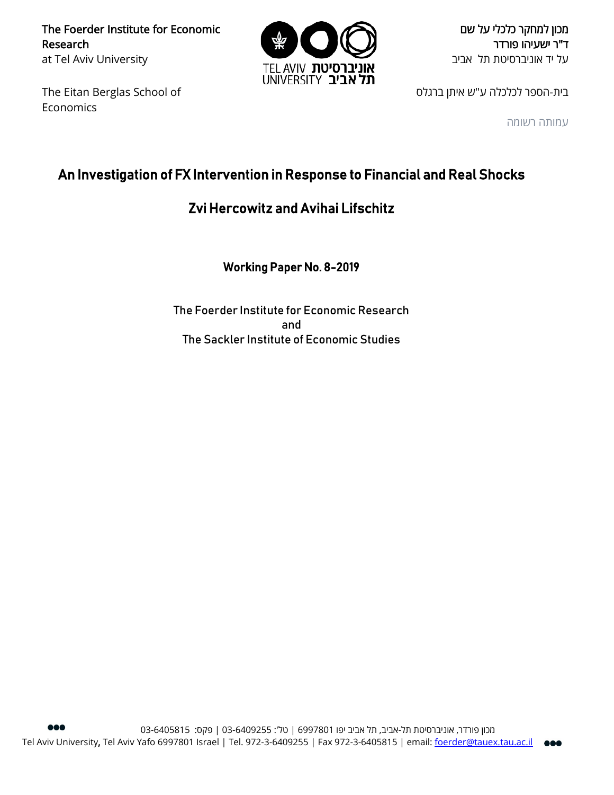The Foerder Institute for Economic Research at Tel Aviv University

The Eitan Berglas School of Economics



מכון למחקר כלכלי על שם ד"ר ישעיהו פורדר על יד אוניברסיטת תל אביב

בית-הספר לכלכלה ע"ש איתן ברגלס

עמותה רשומה

# An Investigation of FX Intervention in Response to Financial and Real Shocks

# Zvi Hercowitz and Avihai Lifschitz

Working Paper No. 8-2019

The Foerder Institute for Economic Research and The Sackler Institute of Economic Studies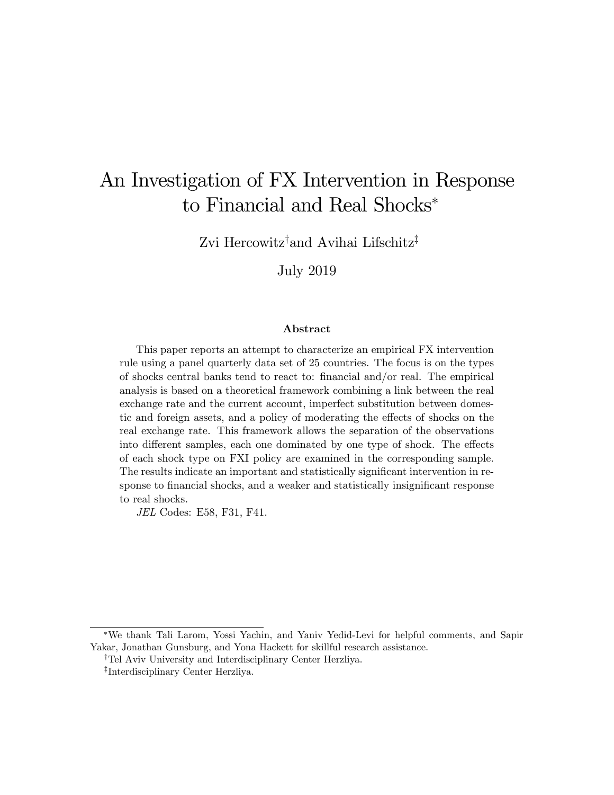# An Investigation of FX Intervention in Response to Financial and Real Shocks

Zvi Hercowitz<sup>†</sup>and Avihai Lifschitz<sup>‡</sup>

July 2019

### Abstract

This paper reports an attempt to characterize an empirical FX intervention rule using a panel quarterly data set of 25 countries. The focus is on the types of shocks central banks tend to react to: Önancial and/or real. The empirical analysis is based on a theoretical framework combining a link between the real exchange rate and the current account, imperfect substitution between domestic and foreign assets, and a policy of moderating the effects of shocks on the real exchange rate. This framework allows the separation of the observations into different samples, each one dominated by one type of shock. The effects of each shock type on FXI policy are examined in the corresponding sample. The results indicate an important and statistically significant intervention in response to financial shocks, and a weaker and statistically insignificant response to real shocks.

JEL Codes: E58, F31, F41.

We thank Tali Larom, Yossi Yachin, and Yaniv Yedid-Levi for helpful comments, and Sapir Yakar, Jonathan Gunsburg, and Yona Hackett for skillful research assistance.

<sup>&</sup>lt;sup>†</sup>Tel Aviv University and Interdisciplinary Center Herzliya.

z Interdisciplinary Center Herzliya.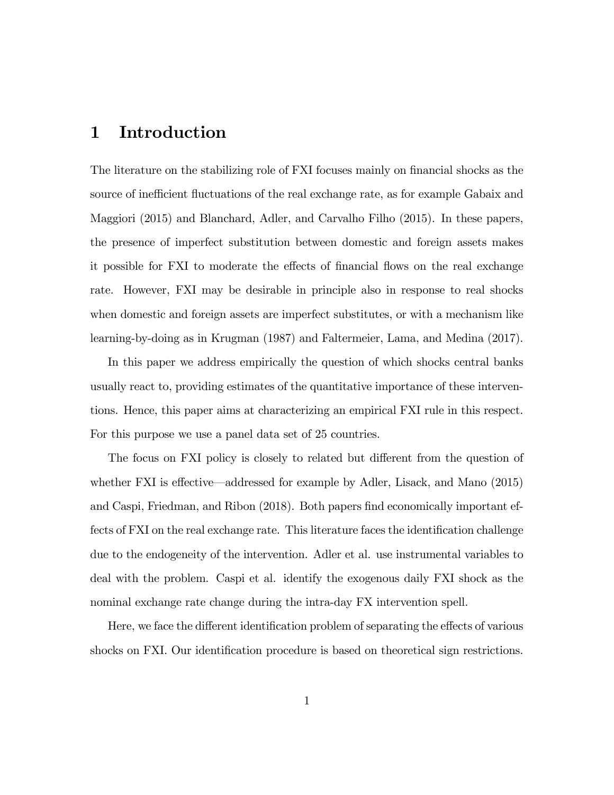## 1 Introduction

The literature on the stabilizing role of FXI focuses mainly on financial shocks as the source of inefficient fluctuations of the real exchange rate, as for example Gabaix and Maggiori (2015) and Blanchard, Adler, and Carvalho Filho (2015). In these papers, the presence of imperfect substitution between domestic and foreign assets makes it possible for FXI to moderate the effects of financial flows on the real exchange rate. However, FXI may be desirable in principle also in response to real shocks when domestic and foreign assets are imperfect substitutes, or with a mechanism like learning-by-doing as in Krugman (1987) and Faltermeier, Lama, and Medina (2017).

In this paper we address empirically the question of which shocks central banks usually react to, providing estimates of the quantitative importance of these interventions. Hence, this paper aims at characterizing an empirical FXI rule in this respect. For this purpose we use a panel data set of 25 countries.

The focus on FXI policy is closely to related but different from the question of whether FXI is effective—addressed for example by Adler, Lisack, and Mano  $(2015)$ and Caspi, Friedman, and Ribon (2018). Both papers find economically important effects of FXI on the real exchange rate. This literature faces the identification challenge due to the endogeneity of the intervention. Adler et al. use instrumental variables to deal with the problem. Caspi et al. identify the exogenous daily FXI shock as the nominal exchange rate change during the intra-day FX intervention spell.

Here, we face the different identification problem of separating the effects of various shocks on FXI. Our identification procedure is based on theoretical sign restrictions.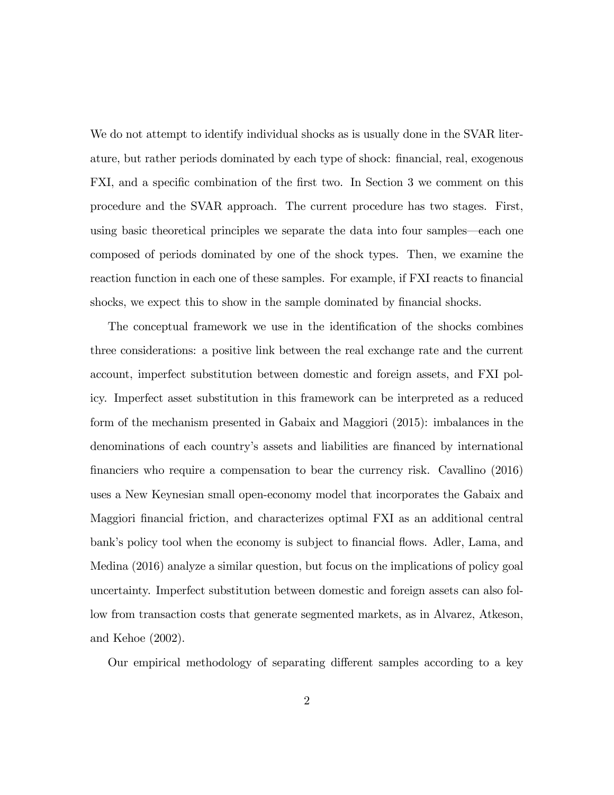We do not attempt to identify individual shocks as is usually done in the SVAR literature, but rather periods dominated by each type of shock: Önancial, real, exogenous FXI, and a specific combination of the first two. In Section 3 we comment on this procedure and the SVAR approach. The current procedure has two stages. First, using basic theoretical principles we separate the data into four samples—each one composed of periods dominated by one of the shock types. Then, we examine the reaction function in each one of these samples. For example, if FXI reacts to financial shocks, we expect this to show in the sample dominated by financial shocks.

The conceptual framework we use in the identification of the shocks combines three considerations: a positive link between the real exchange rate and the current account, imperfect substitution between domestic and foreign assets, and FXI policy. Imperfect asset substitution in this framework can be interpreted as a reduced form of the mechanism presented in Gabaix and Maggiori (2015): imbalances in the denominations of each country's assets and liabilities are financed by international Önanciers who require a compensation to bear the currency risk. Cavallino (2016) uses a New Keynesian small open-economy model that incorporates the Gabaix and Maggiori financial friction, and characterizes optimal FXI as an additional central bank's policy tool when the economy is subject to financial flows. Adler, Lama, and Medina (2016) analyze a similar question, but focus on the implications of policy goal uncertainty. Imperfect substitution between domestic and foreign assets can also follow from transaction costs that generate segmented markets, as in Alvarez, Atkeson, and Kehoe (2002).

Our empirical methodology of separating different samples according to a key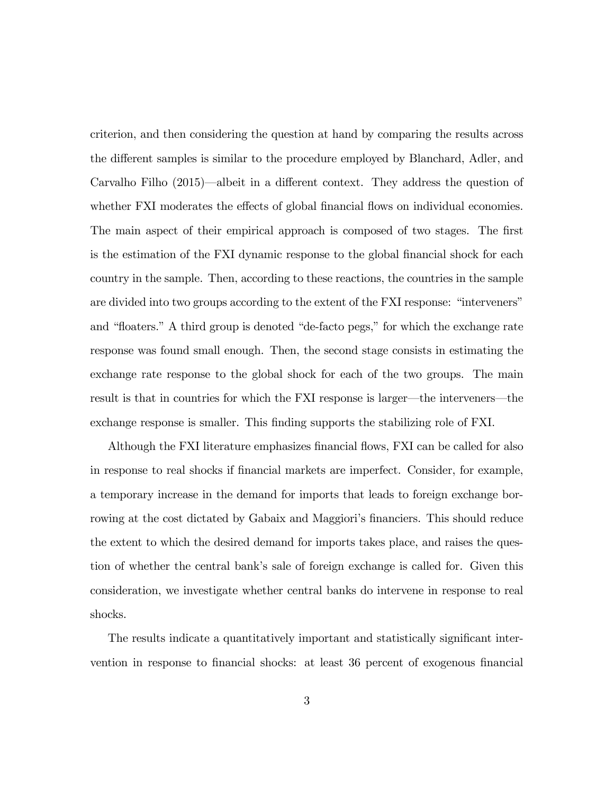criterion, and then considering the question at hand by comparing the results across the different samples is similar to the procedure employed by Blanchard, Adler, and Carvalho Filho  $(2015)$ —albeit in a different context. They address the question of whether FXI moderates the effects of global financial flows on individual economies. The main aspect of their empirical approach is composed of two stages. The first is the estimation of the FXI dynamic response to the global financial shock for each country in the sample. Then, according to these reactions, the countries in the sample are divided into two groups according to the extent of the FXI response: "interveners" and "floaters." A third group is denoted "de-facto pegs," for which the exchange rate response was found small enough. Then, the second stage consists in estimating the exchange rate response to the global shock for each of the two groups. The main result is that in countries for which the FXI response is larger—the interveners—the exchange response is smaller. This finding supports the stabilizing role of FXI.

Although the FXI literature emphasizes financial flows, FXI can be called for also in response to real shocks if Önancial markets are imperfect. Consider, for example, a temporary increase in the demand for imports that leads to foreign exchange borrowing at the cost dictated by Gabaix and Maggiori's financiers. This should reduce the extent to which the desired demand for imports takes place, and raises the question of whether the central bank's sale of foreign exchange is called for. Given this consideration, we investigate whether central banks do intervene in response to real shocks.

The results indicate a quantitatively important and statistically significant intervention in response to financial shocks: at least 36 percent of exogenous financial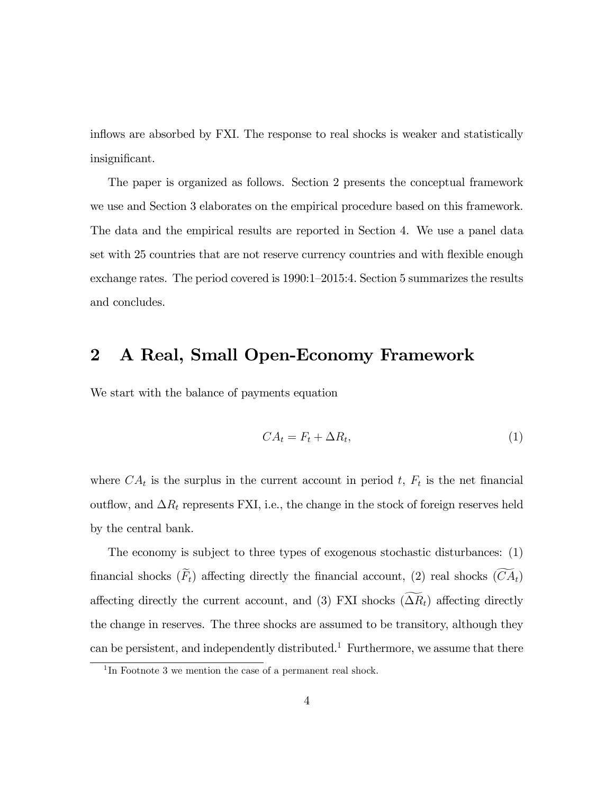inflows are absorbed by FXI. The response to real shocks is weaker and statistically insignificant.

The paper is organized as follows. Section 2 presents the conceptual framework we use and Section 3 elaborates on the empirical procedure based on this framework. The data and the empirical results are reported in Section 4. We use a panel data set with 25 countries that are not reserve currency countries and with flexible enough exchange rates. The period covered is  $1990:1-2015:4$ . Section 5 summarizes the results and concludes.

# 2 A Real, Small Open-Economy Framework

We start with the balance of payments equation

$$
CA_t = F_t + \Delta R_t,\tag{1}
$$

where  $CA_t$  is the surplus in the current account in period t,  $F_t$  is the net financial outflow, and  $\Delta R_t$  represents FXI, i.e., the change in the stock of foreign reserves held by the central bank.

The economy is subject to three types of exogenous stochastic disturbances: (1) financial shocks  $(\widetilde{F}_t)$  affecting directly the financial account, (2) real shocks  $(\widetilde{CA}_t)$ affecting directly the current account, and (3) FXI shocks  $(\Delta R_t)$  affecting directly the change in reserves. The three shocks are assumed to be transitory, although they can be persistent, and independently distributed.<sup>1</sup> Furthermore, we assume that there

<sup>&</sup>lt;sup>1</sup>In Footnote 3 we mention the case of a permanent real shock.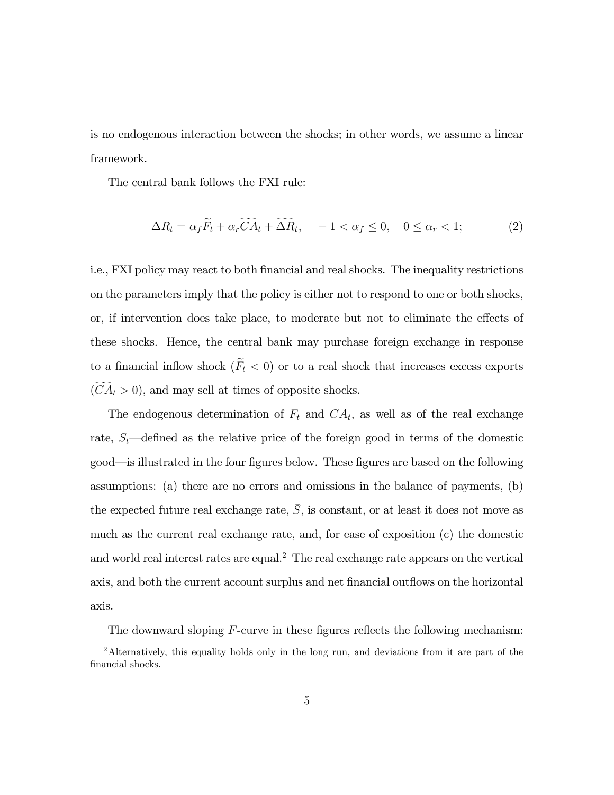is no endogenous interaction between the shocks; in other words, we assume a linear framework.

The central bank follows the FXI rule:

$$
\Delta R_t = \alpha_f \widetilde{F}_t + \alpha_r \widetilde{CA}_t + \widetilde{\Delta R}_t, \quad -1 < \alpha_f \le 0, \quad 0 \le \alpha_r < 1; \tag{2}
$$

i.e., FXI policy may react to both Önancial and real shocks. The inequality restrictions on the parameters imply that the policy is either not to respond to one or both shocks, or, if intervention does take place, to moderate but not to eliminate the effects of these shocks. Hence, the central bank may purchase foreign exchange in response to a financial inflow shock  $(\widetilde{F}_t < 0)$  or to a real shock that increases excess exports  $(CA_t > 0)$ , and may sell at times of opposite shocks.

The endogenous determination of  $F_t$  and  $CA_t$ , as well as of the real exchange rate,  $S_t$ —defined as the relative price of the foreign good in terms of the domestic good—is illustrated in the four figures below. These figures are based on the following assumptions: (a) there are no errors and omissions in the balance of payments, (b) the expected future real exchange rate,  $\overline{S}$ , is constant, or at least it does not move as much as the current real exchange rate, and, for ease of exposition (c) the domestic and world real interest rates are equal.<sup>2</sup> The real exchange rate appears on the vertical axis, and both the current account surplus and net financial outflows on the horizontal axis.

The downward sloping  $F$ -curve in these figures reflects the following mechanism:

<sup>&</sup>lt;sup>2</sup>Alternatively, this equality holds only in the long run, and deviations from it are part of the financial shocks.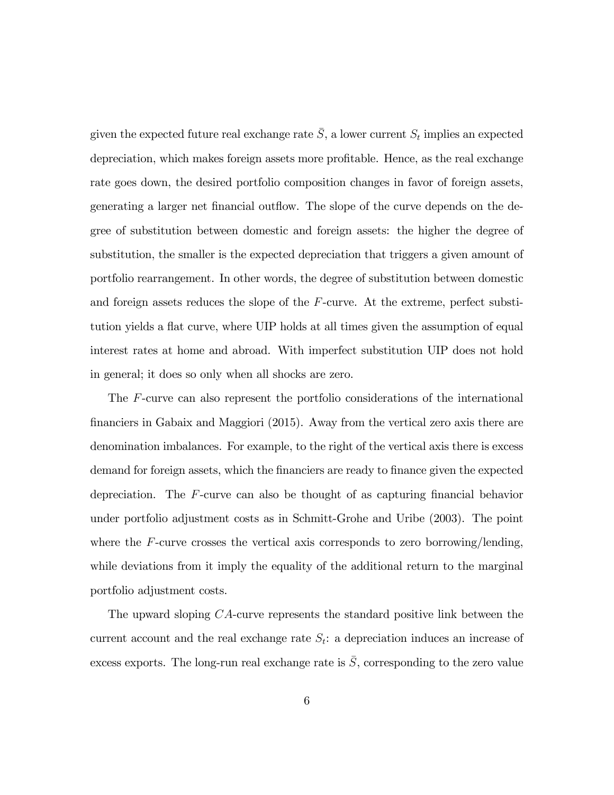given the expected future real exchange rate  $\bar{S}$ , a lower current  $S_t$  implies an expected depreciation, which makes foreign assets more profitable. Hence, as the real exchange rate goes down, the desired portfolio composition changes in favor of foreign assets, generating a larger net financial outflow. The slope of the curve depends on the degree of substitution between domestic and foreign assets: the higher the degree of substitution, the smaller is the expected depreciation that triggers a given amount of portfolio rearrangement. In other words, the degree of substitution between domestic and foreign assets reduces the slope of the F-curve. At the extreme, perfect substitution yields a flat curve, where UIP holds at all times given the assumption of equal interest rates at home and abroad. With imperfect substitution UIP does not hold in general; it does so only when all shocks are zero.

The F-curve can also represent the portfolio considerations of the international Önanciers in Gabaix and Maggiori (2015). Away from the vertical zero axis there are denomination imbalances. For example, to the right of the vertical axis there is excess demand for foreign assets, which the financiers are ready to finance given the expected depreciation. The  $F$ -curve can also be thought of as capturing financial behavior under portfolio adjustment costs as in Schmitt-Grohe and Uribe (2003). The point where the F-curve crosses the vertical axis corresponds to zero borrowing/lending, while deviations from it imply the equality of the additional return to the marginal portfolio adjustment costs.

The upward sloping CA-curve represents the standard positive link between the current account and the real exchange rate  $S_t$ : a depreciation induces an increase of excess exports. The long-run real exchange rate is  $\overline{S}$ , corresponding to the zero value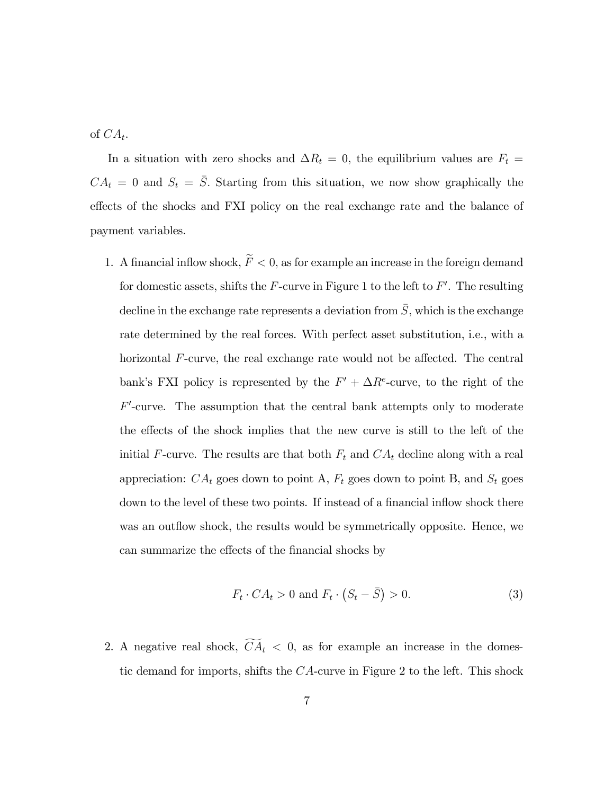of  $CA_t$ .

In a situation with zero shocks and  $\Delta R_t = 0$ , the equilibrium values are  $F_t =$  $CA_t = 0$  and  $S_t = \overline{S}$ . Starting from this situation, we now show graphically the effects of the shocks and FXI policy on the real exchange rate and the balance of payment variables.

1. A financial inflow shock,  $\widetilde{F} < 0$ , as for example an increase in the foreign demand for domestic assets, shifts the  $F$ -curve in Figure 1 to the left to  $F'$ . The resulting decline in the exchange rate represents a deviation from  $\overline{S}$ , which is the exchange rate determined by the real forces. With perfect asset substitution, i.e., with a horizontal  $F$ -curve, the real exchange rate would not be affected. The central bank's FXI policy is represented by the  $F' + \Delta R^e$ -curve, to the right of the  $F'$ -curve. The assumption that the central bank attempts only to moderate the effects of the shock implies that the new curve is still to the left of the initial F-curve. The results are that both  $F_t$  and  $CA_t$  decline along with a real appreciation:  $CA_t$  goes down to point A,  $F_t$  goes down to point B, and  $S_t$  goes down to the level of these two points. If instead of a financial inflow shock there was an outflow shock, the results would be symmetrically opposite. Hence, we can summarize the effects of the financial shocks by

$$
F_t \cdot CA_t > 0 \text{ and } F_t \cdot (S_t - \bar{S}) > 0. \tag{3}
$$

2. A negative real shock,  $\widetilde{CA}_t < 0$ , as for example an increase in the domestic demand for imports, shifts the CA-curve in Figure 2 to the left. This shock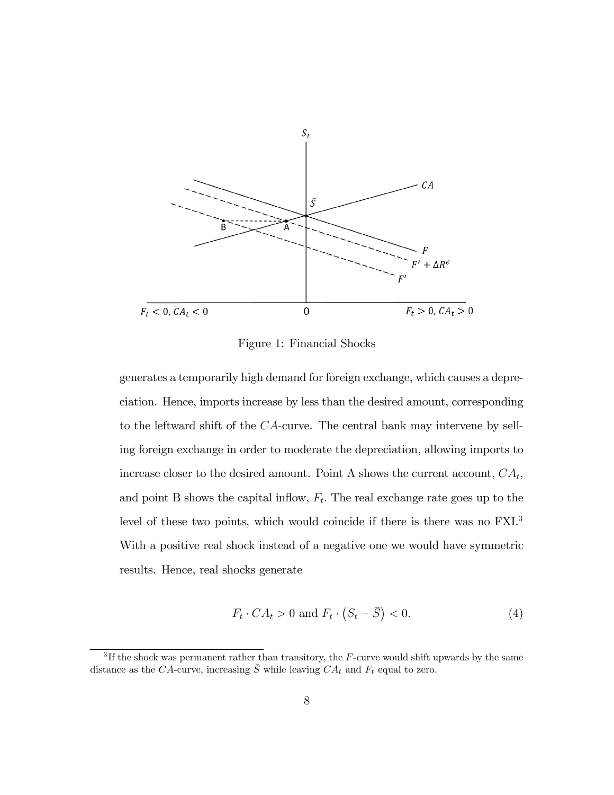

Figure 1: Financial Shocks

generates a temporarily high demand for foreign exchange, which causes a depreciation. Hence, imports increase by less than the desired amount, corresponding to the leftward shift of the CA-curve. The central bank may intervene by selling foreign exchange in order to moderate the depreciation, allowing imports to increase closer to the desired amount. Point A shows the current account,  $CA_t$ , and point B shows the capital inflow,  $F_t$ . The real exchange rate goes up to the level of these two points, which would coincide if there is there was no FXI.<sup>3</sup> With a positive real shock instead of a negative one we would have symmetric results. Hence, real shocks generate

$$
F_t \cdot CA_t > 0 \text{ and } F_t \cdot (S_t - \bar{S}) < 0. \tag{4}
$$

 ${}^{3}$ If the shock was permanent rather than transitory, the F-curve would shift upwards by the same distance as the CA-curve, increasing  $\overline{S}$  while leaving  $CA_t$  and  $F_t$  equal to zero.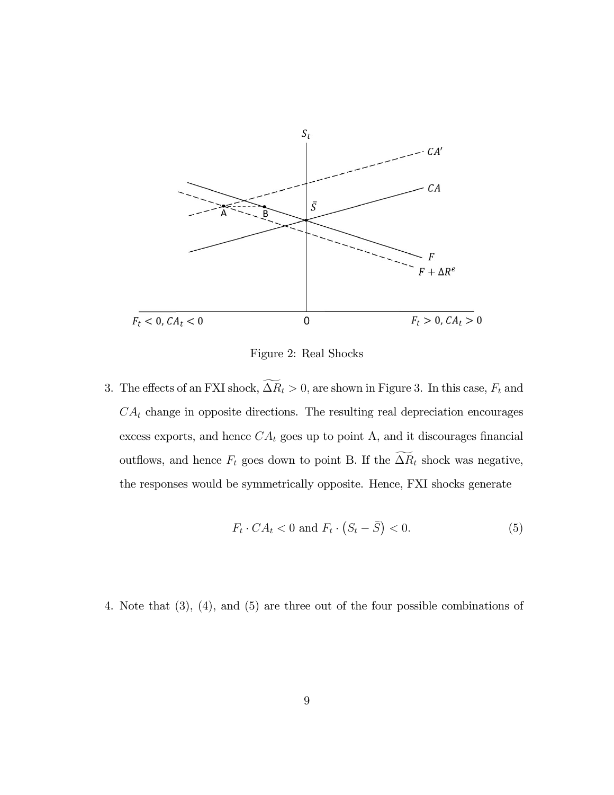

Figure 2: Real Shocks

3. The effects of an FXI shock,  $\widetilde{\Delta R}_t > 0$ , are shown in Figure 3. In this case,  $F_t$  and  $CA_t$  change in opposite directions. The resulting real depreciation encourages excess exports, and hence  $CA_t$  goes up to point A, and it discourages financial outflows, and hence  $F_t$  goes down to point B. If the  $\widetilde{\Delta R}_t$  shock was negative, the responses would be symmetrically opposite. Hence, FXI shocks generate

$$
F_t \cdot CA_t < 0 \text{ and } F_t \cdot \left( S_t - \bar{S} \right) < 0. \tag{5}
$$

4. Note that (3), (4), and (5) are three out of the four possible combinations of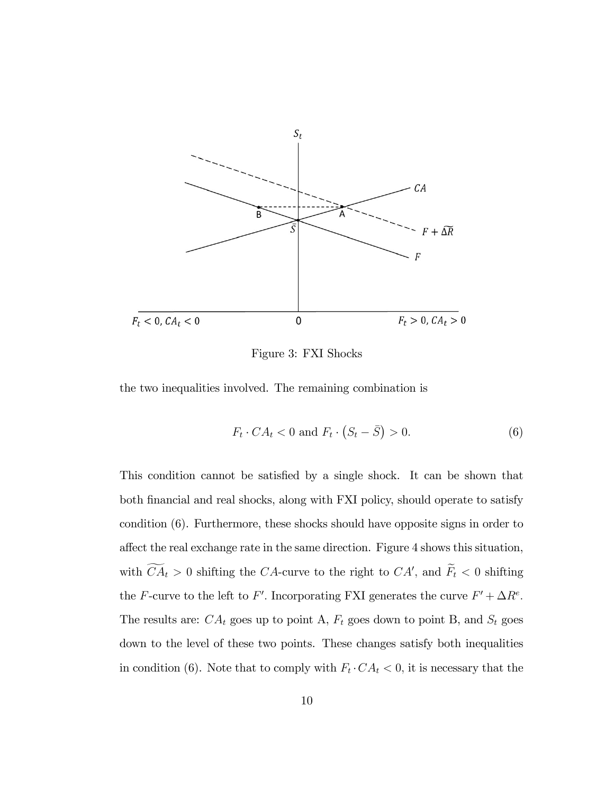

Figure 3: FXI Shocks

the two inequalities involved. The remaining combination is

$$
F_t \cdot CA_t < 0 \text{ and } F_t \cdot \left( S_t - \bar{S} \right) > 0. \tag{6}
$$

This condition cannot be satisfied by a single shock. It can be shown that both Önancial and real shocks, along with FXI policy, should operate to satisfy condition (6). Furthermore, these shocks should have opposite signs in order to affect the real exchange rate in the same direction. Figure 4 shows this situation, with  $CA_t > 0$  shifting the CA-curve to the right to CA', and  $F_t < 0$  shifting the F-curve to the left to F'. Incorporating FXI generates the curve  $F' + \Delta R^e$ . The results are:  $CA_t$  goes up to point A,  $F_t$  goes down to point B, and  $S_t$  goes down to the level of these two points. These changes satisfy both inequalities in condition (6). Note that to comply with  $F_t \cdot CA_t < 0$ , it is necessary that the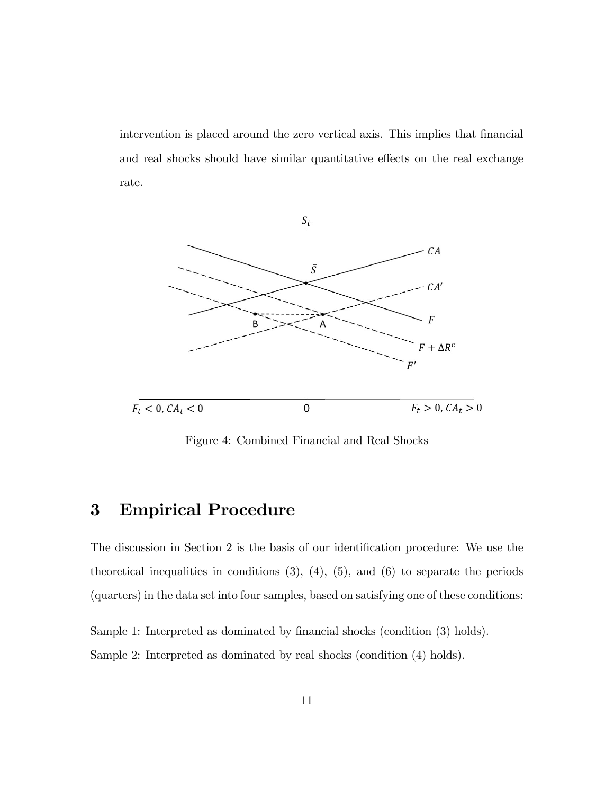intervention is placed around the zero vertical axis. This implies that financial and real shocks should have similar quantitative effects on the real exchange rate.



Figure 4: Combined Financial and Real Shocks

# 3 Empirical Procedure

The discussion in Section 2 is the basis of our identification procedure: We use the theoretical inequalities in conditions  $(3)$ ,  $(4)$ ,  $(5)$ , and  $(6)$  to separate the periods (quarters) in the data set into four samples, based on satisfying one of these conditions:

Sample 1: Interpreted as dominated by financial shocks (condition (3) holds). Sample 2: Interpreted as dominated by real shocks (condition (4) holds).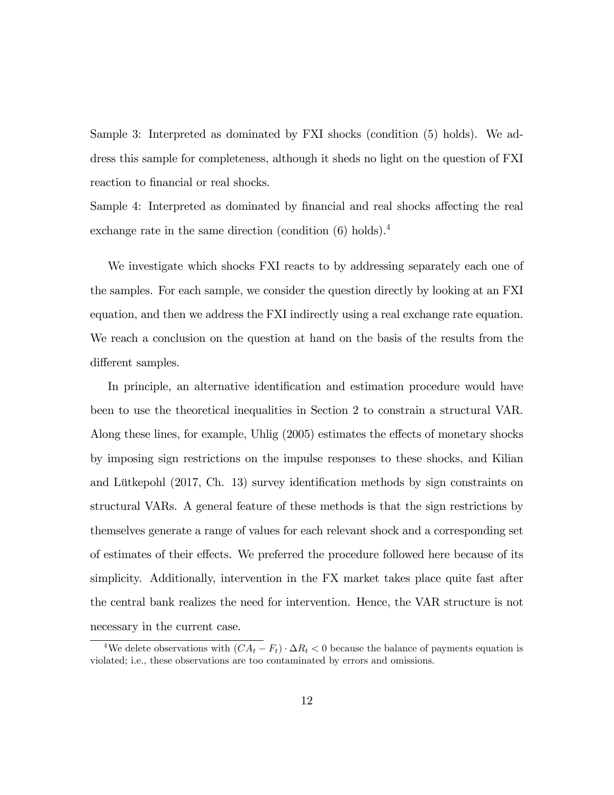Sample 3: Interpreted as dominated by FXI shocks (condition (5) holds). We address this sample for completeness, although it sheds no light on the question of FXI reaction to financial or real shocks.

Sample 4: Interpreted as dominated by financial and real shocks affecting the real exchange rate in the same direction (condition  $(6)$  holds).<sup>4</sup>

We investigate which shocks FXI reacts to by addressing separately each one of the samples. For each sample, we consider the question directly by looking at an FXI equation, and then we address the FXI indirectly using a real exchange rate equation. We reach a conclusion on the question at hand on the basis of the results from the different samples.

In principle, an alternative identification and estimation procedure would have been to use the theoretical inequalities in Section 2 to constrain a structural VAR. Along these lines, for example, Uhlig  $(2005)$  estimates the effects of monetary shocks by imposing sign restrictions on the impulse responses to these shocks, and Kilian and Lütkepohl  $(2017, Ch. 13)$  survey identification methods by sign constraints on structural VARs. A general feature of these methods is that the sign restrictions by themselves generate a range of values for each relevant shock and a corresponding set of estimates of their effects. We preferred the procedure followed here because of its simplicity. Additionally, intervention in the FX market takes place quite fast after the central bank realizes the need for intervention. Hence, the VAR structure is not necessary in the current case.

<sup>&</sup>lt;sup>4</sup>We delete observations with  $(CA_t - F_t) \cdot \Delta R_t < 0$  because the balance of payments equation is violated; i.e., these observations are too contaminated by errors and omissions.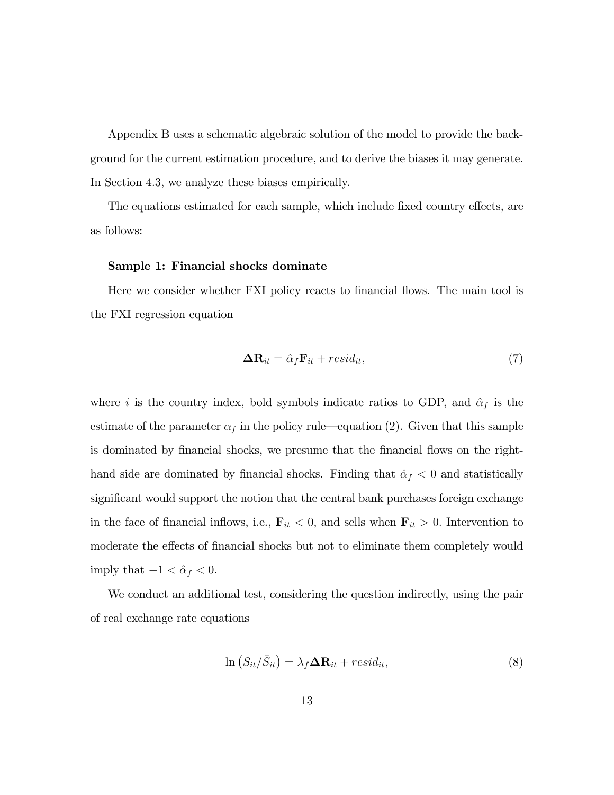Appendix B uses a schematic algebraic solution of the model to provide the background for the current estimation procedure, and to derive the biases it may generate. In Section 4.3, we analyze these biases empirically.

The equations estimated for each sample, which include fixed country effects, are as follows:

### Sample 1: Financial shocks dominate

Here we consider whether FXI policy reacts to financial flows. The main tool is the FXI regression equation

$$
\Delta \mathbf{R}_{it} = \hat{\alpha}_f \mathbf{F}_{it} + resid_{it},\tag{7}
$$

where i is the country index, bold symbols indicate ratios to GDP, and  $\hat{\alpha}_f$  is the estimate of the parameter  $\alpha_f$  in the policy rule—equation (2). Given that this sample is dominated by financial shocks, we presume that the financial flows on the righthand side are dominated by financial shocks. Finding that  $\hat{\alpha}_f < 0$  and statistically significant would support the notion that the central bank purchases foreign exchange in the face of financial inflows, i.e.,  $\mathbf{F}_{it} < 0$ , and sells when  $\mathbf{F}_{it} > 0$ . Intervention to moderate the effects of financial shocks but not to eliminate them completely would imply that  $-1 < \hat{\alpha}_f < 0$ .

We conduct an additional test, considering the question indirectly, using the pair of real exchange rate equations

$$
\ln\left(S_{it}/\bar{S}_{it}\right) = \lambda_f \Delta \mathbf{R}_{it} + resid_{it},\tag{8}
$$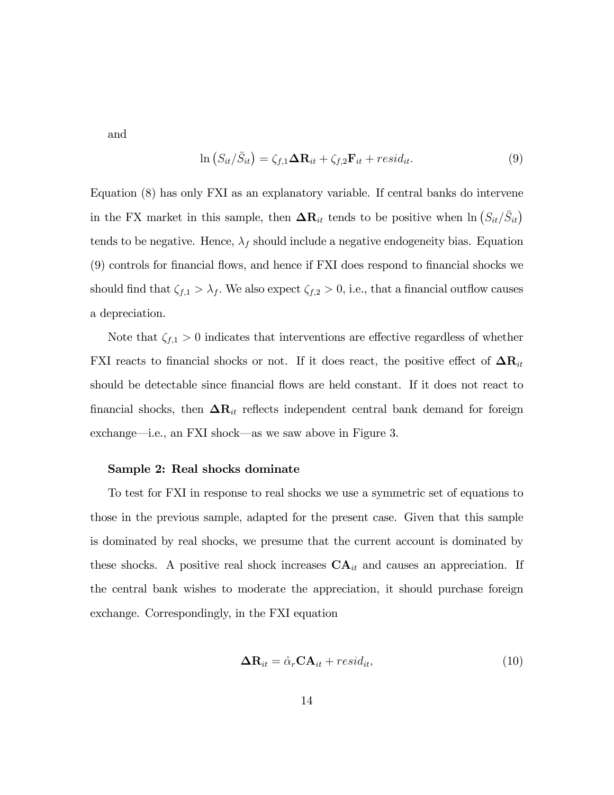and

$$
\ln\left(S_{it}/\bar{S}_{it}\right) = \zeta_{f,1}\Delta\mathbf{R}_{it} + \zeta_{f,2}\mathbf{F}_{it} + resid_{it}.
$$
\n(9)

Equation (8) has only FXI as an explanatory variable. If central banks do intervene in the FX market in this sample, then  $\Delta \mathbf{R}_{it}$  tends to be positive when  $\ln \left( S_{it}/\bar{S}_{it} \right)$ tends to be negative. Hence,  $\lambda_f$  should include a negative endogeneity bias. Equation (9) controls for financial flows, and hence if FXI does respond to financial shocks we should find that  $\zeta_{f,1} > \lambda_f$ . We also expect  $\zeta_{f,2} > 0$ , i.e., that a financial outflow causes a depreciation.

Note that  $\zeta_{f,1} > 0$  indicates that interventions are effective regardless of whether FXI reacts to financial shocks or not. If it does react, the positive effect of  $\Delta \mathbf{R}_{it}$ should be detectable since financial flows are held constant. If it does not react to financial shocks, then  $\Delta R_{it}$  reflects independent central bank demand for foreign exchange—i.e., an FXI shock—as we saw above in Figure 3.

### Sample 2: Real shocks dominate

To test for FXI in response to real shocks we use a symmetric set of equations to those in the previous sample, adapted for the present case. Given that this sample is dominated by real shocks, we presume that the current account is dominated by these shocks. A positive real shock increases  $CA_{it}$  and causes an appreciation. If the central bank wishes to moderate the appreciation, it should purchase foreign exchange. Correspondingly, in the FXI equation

$$
\Delta \mathbf{R}_{it} = \hat{\alpha}_r \mathbf{C} \mathbf{A}_{it} + \text{resid}_{it},\tag{10}
$$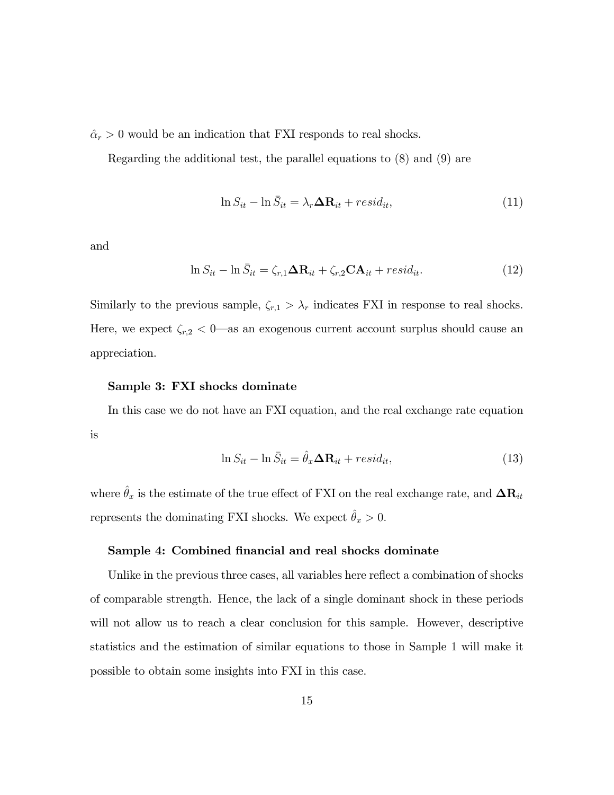$\hat{\alpha}_r > 0$  would be an indication that FXI responds to real shocks.

Regarding the additional test, the parallel equations to (8) and (9) are

$$
\ln S_{it} - \ln \bar{S}_{it} = \lambda_r \Delta \mathbf{R}_{it} + resid_{it},\tag{11}
$$

and

$$
\ln S_{it} - \ln \bar{S}_{it} = \zeta_{r,1} \Delta \mathbf{R}_{it} + \zeta_{r,2} \mathbf{C} \mathbf{A}_{it} + \text{resid}_{it}.
$$
\n(12)

Similarly to the previous sample,  $\zeta_{r,1} > \lambda_r$  indicates FXI in response to real shocks. Here, we expect  $\zeta_{r,2} < 0$ —as an exogenous current account surplus should cause an appreciation.

#### Sample 3: FXI shocks dominate

In this case we do not have an FXI equation, and the real exchange rate equation is

$$
\ln S_{it} - \ln \bar{S}_{it} = \hat{\theta}_x \Delta \mathbf{R}_{it} + resid_{it},\tag{13}
$$

where  $\hat{\theta}_x$  is the estimate of the true effect of FXI on the real exchange rate, and  $\Delta \mathbf{R}_{it}$ represents the dominating FXI shocks. We expect  $\hat{\theta}_x > 0$ .

### Sample 4: Combined financial and real shocks dominate

Unlike in the previous three cases, all variables here reflect a combination of shocks of comparable strength. Hence, the lack of a single dominant shock in these periods will not allow us to reach a clear conclusion for this sample. However, descriptive statistics and the estimation of similar equations to those in Sample 1 will make it possible to obtain some insights into FXI in this case.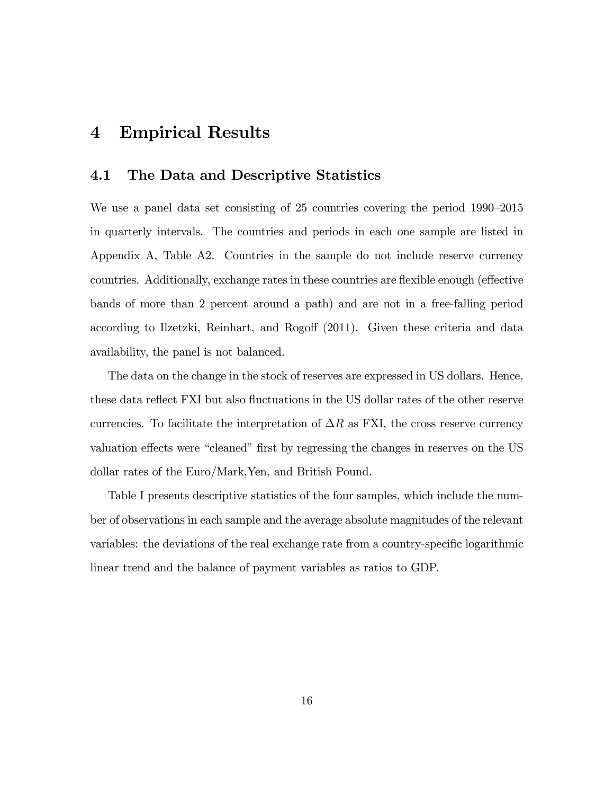# 4 Empirical Results

### 4.1 The Data and Descriptive Statistics

We use a panel data set consisting of 25 countries covering the period  $1990-2015$ in quarterly intervals. The countries and periods in each one sample are listed in Appendix A, Table A2. Countries in the sample do not include reserve currency countries. Additionally, exchange rates in these countries are flexible enough (effective bands of more than 2 percent around a path) and are not in a free-falling period according to Ilzetzki, Reinhart, and Rogoff (2011). Given these criteria and data availability, the panel is not balanced.

The data on the change in the stock of reserves are expressed in US dollars. Hence, these data reflect FXI but also fluctuations in the US dollar rates of the other reserve currencies. To facilitate the interpretation of  $\Delta R$  as FXI, the cross reserve currency valuation effects were "cleaned" first by regressing the changes in reserves on the US dollar rates of the Euro/Mark,Yen, and British Pound.

Table I presents descriptive statistics of the four samples, which include the number of observations in each sample and the average absolute magnitudes of the relevant variables: the deviations of the real exchange rate from a country-specific logarithmic linear trend and the balance of payment variables as ratios to GDP.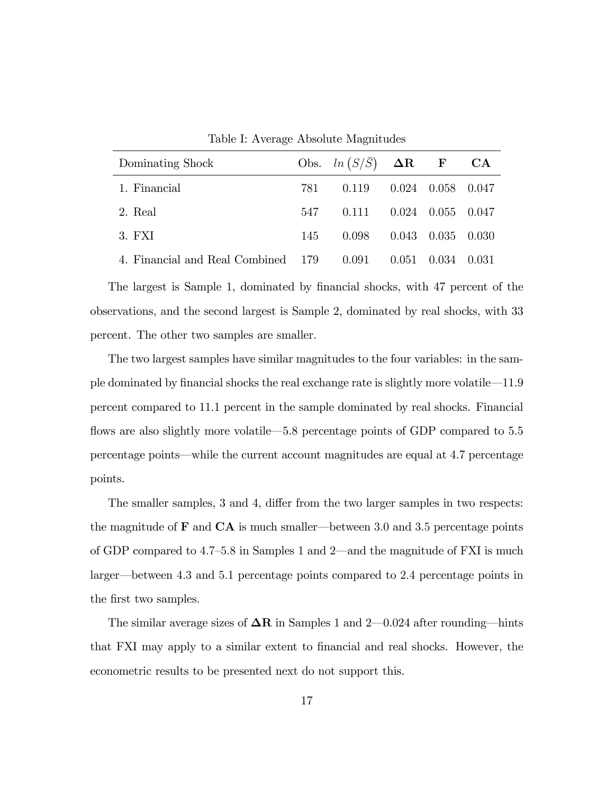| Dominating Shock                   |     | Obs. $ln(S/\bar{S})$ $\Delta R$ F CA |       |             |       |
|------------------------------------|-----|--------------------------------------|-------|-------------|-------|
| 1. Financial                       | 781 | 0.119                                | 0.024 | 0.058 0.047 |       |
| 2. Real                            | 547 | 0.111                                | 0.024 | 0.055 0.047 |       |
| 3. FXI                             | 145 | 0.098                                | 0.043 | 0.035       | 0.030 |
| 4. Financial and Real Combined 179 |     | 0.091                                | 0.051 | 0.034       | 0.031 |

Table I: Average Absolute Magnitudes

The largest is Sample 1, dominated by financial shocks, with 47 percent of the observations, and the second largest is Sample 2, dominated by real shocks, with 33 percent. The other two samples are smaller.

The two largest samples have similar magnitudes to the four variables: in the sample dominated by financial shocks the real exchange rate is slightly more volatile—11.9 percent compared to 11.1 percent in the sample dominated by real shocks. Financial flows are also slightly more volatile  $-5.8$  percentage points of GDP compared to  $5.5$ percentage points—while the current account magnitudes are equal at 4.7 percentage points.

The smaller samples, 3 and 4, differ from the two larger samples in two respects: the magnitude of  $\bf{F}$  and  $\bf{CA}$  is much smaller—between 3.0 and 3.5 percentage points of GDP compared to  $4.7-5.8$  in Samples 1 and 2—and the magnitude of FXI is much larger—between 4.3 and 5.1 percentage points compared to 2.4 percentage points in the first two samples.

The similar average sizes of  $\Delta R$  in Samples 1 and 2–0.024 after rounding—hints that FXI may apply to a similar extent to financial and real shocks. However, the econometric results to be presented next do not support this.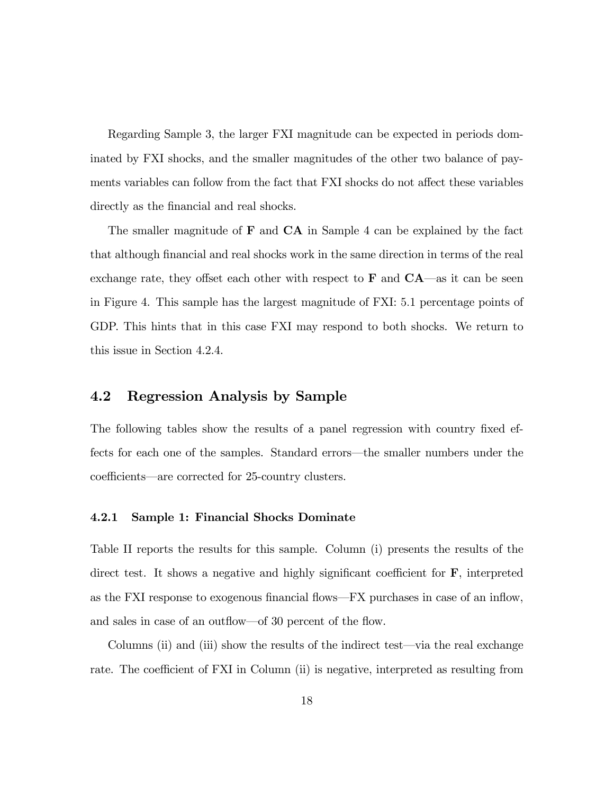Regarding Sample 3, the larger FXI magnitude can be expected in periods dominated by FXI shocks, and the smaller magnitudes of the other two balance of payments variables can follow from the fact that FXI shocks do not affect these variables directly as the financial and real shocks.

The smaller magnitude of  $\bf{F}$  and  $\bf{CA}$  in Sample 4 can be explained by the fact that although Önancial and real shocks work in the same direction in terms of the real exchange rate, they offset each other with respect to  $\bf{F}$  and  $\bf{CA}$ —as it can be seen in Figure 4. This sample has the largest magnitude of FXI: 5:1 percentage points of GDP. This hints that in this case FXI may respond to both shocks. We return to this issue in Section 4.2.4.

### 4.2 Regression Analysis by Sample

The following tables show the results of a panel regression with country fixed effects for each one of the samples. Standard errors—the smaller numbers under the coefficients—are corrected for 25-country clusters.

### 4.2.1 Sample 1: Financial Shocks Dominate

Table II reports the results for this sample. Column (i) presents the results of the direct test. It shows a negative and highly significant coefficient for  $\bf{F}$ , interpreted as the FXI response to exogenous financial flows—FX purchases in case of an inflow, and sales in case of an outflow–of 30 percent of the flow.

Columns (ii) and (iii) show the results of the indirect test—via the real exchange rate. The coefficient of FXI in Column (ii) is negative, interpreted as resulting from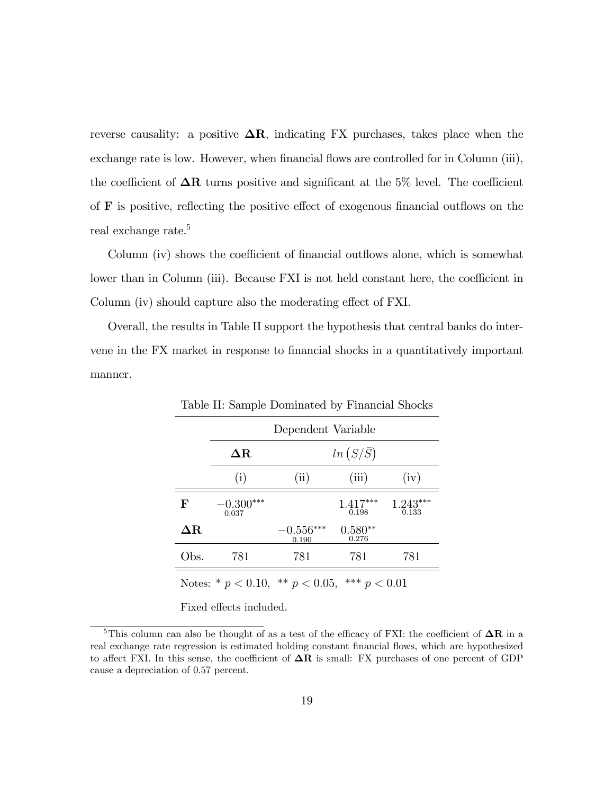reverse causality: a positive  $\Delta R$ , indicating FX purchases, takes place when the exchange rate is low. However, when financial flows are controlled for in Column (iii), the coefficient of  $\Delta R$  turns positive and significant at the 5% level. The coefficient of  $\bf{F}$  is positive, reflecting the positive effect of exogenous financial outflows on the real exchange rate.<sup>5</sup>

Column (iv) shows the coefficient of financial outflows alone, which is somewhat lower than in Column (iii). Because FXI is not held constant here, the coefficient in Column (iv) should capture also the moderating effect of FXI.

Overall, the results in Table II support the hypothesis that central banks do intervene in the FX market in response to financial shocks in a quantitatively important manner.

|                                                      | Dependent Variable   |                      |                     |                     |  |
|------------------------------------------------------|----------------------|----------------------|---------------------|---------------------|--|
|                                                      | $\Delta {\rm R}$     | $ln(S/\bar{S})$      |                     |                     |  |
|                                                      | (i)                  | (ii)                 | (iii)               | (iv)                |  |
| $\mathbf{F}$                                         | $-0.300***$<br>0.037 |                      | $1.417***$<br>0.198 | $1.243***$<br>0.133 |  |
| $\Delta {\rm R}$                                     |                      | $-0.556***$<br>0.190 | $0.580**$<br>0.276  |                     |  |
| Obs.                                                 | 781                  | 781                  | 781                 | 781                 |  |
| Notes: * $p < 0.10$ , ** $p < 0.05$ , *** $p < 0.01$ |                      |                      |                     |                     |  |

Table II: Sample Dominated by Financial Shocks

Fixed effects included.

<sup>&</sup>lt;sup>5</sup>This column can also be thought of as a test of the efficacy of FXI: the coefficient of  $\Delta \mathbf{R}$  in a real exchange rate regression is estimated holding constant financial flows, which are hypothesized to affect FXI. In this sense, the coefficient of  $\Delta R$  is small: FX purchases of one percent of GDP cause a depreciation of 0.57 percent.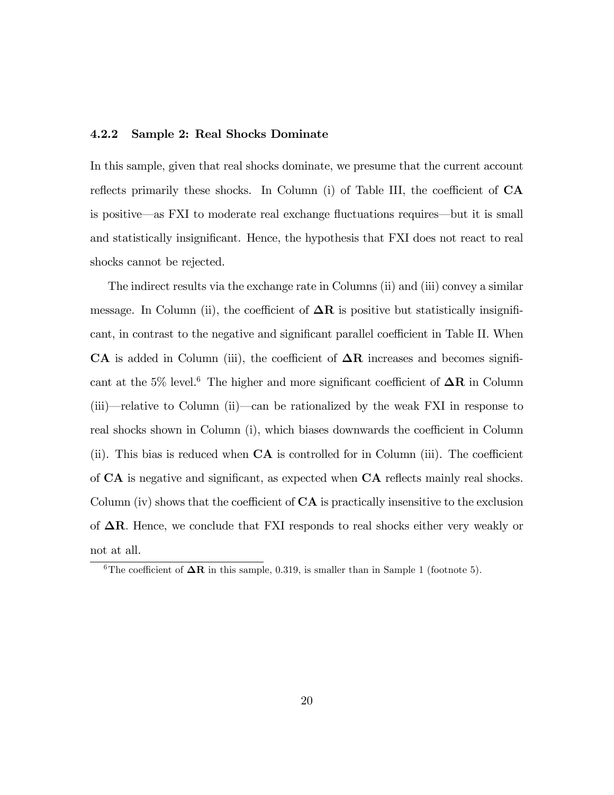### 4.2.2 Sample 2: Real Shocks Dominate

In this sample, given that real shocks dominate, we presume that the current account reflects primarily these shocks. In Column (i) of Table III, the coefficient of  $CA$ is positive—as FXI to moderate real exchange fluctuations requires—but it is small and statistically insignificant. Hence, the hypothesis that FXI does not react to real shocks cannot be rejected.

The indirect results via the exchange rate in Columns (ii) and (iii) convey a similar message. In Column (ii), the coefficient of  $\Delta R$  is positive but statistically insignificant, in contrast to the negative and significant parallel coefficient in Table II. When CA is added in Column (iii), the coefficient of  $\Delta R$  increases and becomes significant at the 5% level.<sup>6</sup> The higher and more significant coefficient of  $\Delta R$  in Column  $(iii)$ —relative to Column (ii)—can be rationalized by the weak FXI in response to real shocks shown in Column (i), which biases downwards the coefficient in Column (ii). This bias is reduced when  $CA$  is controlled for in Column (iii). The coefficient of  $CA$  is negative and significant, as expected when  $CA$  reflects mainly real shocks. Column (iv) shows that the coefficient of  $CA$  is practically insensitive to the exclusion of  $\Delta R$ . Hence, we conclude that FXI responds to real shocks either very weakly or not at all.

<sup>&</sup>lt;sup>6</sup>The coefficient of  $\Delta \mathbf{R}$  in this sample, 0.319, is smaller than in Sample 1 (footnote 5).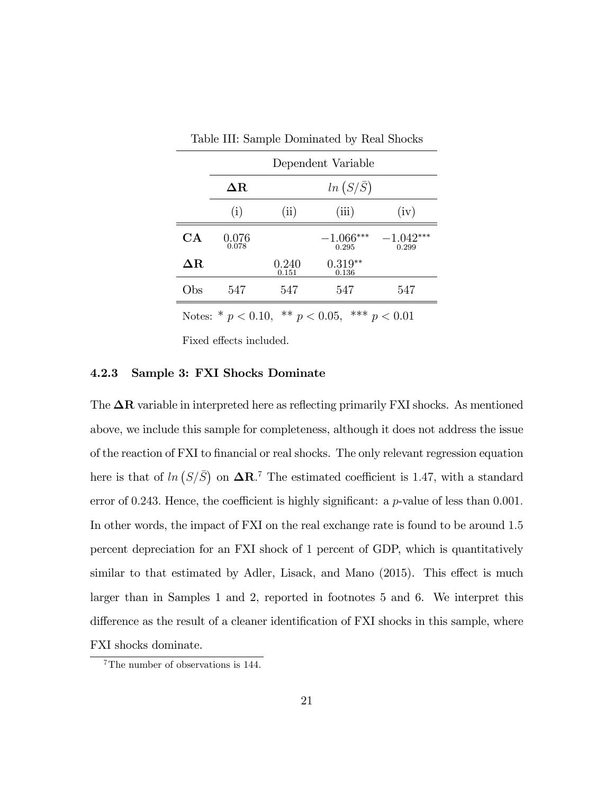|                  | Dependent Variable |                |                      |                      |  |
|------------------|--------------------|----------------|----------------------|----------------------|--|
|                  | $\Delta \text{R}$  |                | $ln(S/\bar{S})$      |                      |  |
|                  | (i)                | (ii)           | (iii)                | (iv)                 |  |
| CA               | 0.076<br>0.078     |                | $-1.066***$<br>0.295 | $-1.042***$<br>0.299 |  |
| $\Delta {\rm R}$ |                    | 0.240<br>0.151 | $0.319**$<br>0.136   |                      |  |
| Obs              | 547                | 547            | 547                  | 547                  |  |

Table III: Sample Dominated by Real Shocks

Notes: \*  $p < 0.10$ , \*\*  $p < 0.05$ , \*\*\*  $p < 0.01$ 

Fixed effects included.

### 4.2.3 Sample 3: FXI Shocks Dominate

The  $\Delta R$  variable in interpreted here as reflecting primarily FXI shocks. As mentioned above, we include this sample for completeness, although it does not address the issue of the reaction of FXI to Önancial or real shocks. The only relevant regression equation here is that of  $ln (S/\overline{S})$  on  $\Delta \mathbb{R}^{7}$ . The estimated coefficient is 1.47, with a standard error of 0.243. Hence, the coefficient is highly significant: a  $p$ -value of less than 0.001. In other words, the impact of FXI on the real exchange rate is found to be around 1:5 percent depreciation for an FXI shock of 1 percent of GDP, which is quantitatively similar to that estimated by Adler, Lisack, and Mano (2015). This effect is much larger than in Samples 1 and 2, reported in footnotes 5 and 6. We interpret this difference as the result of a cleaner identification of FXI shocks in this sample, where FXI shocks dominate.

<sup>7</sup>The number of observations is 144.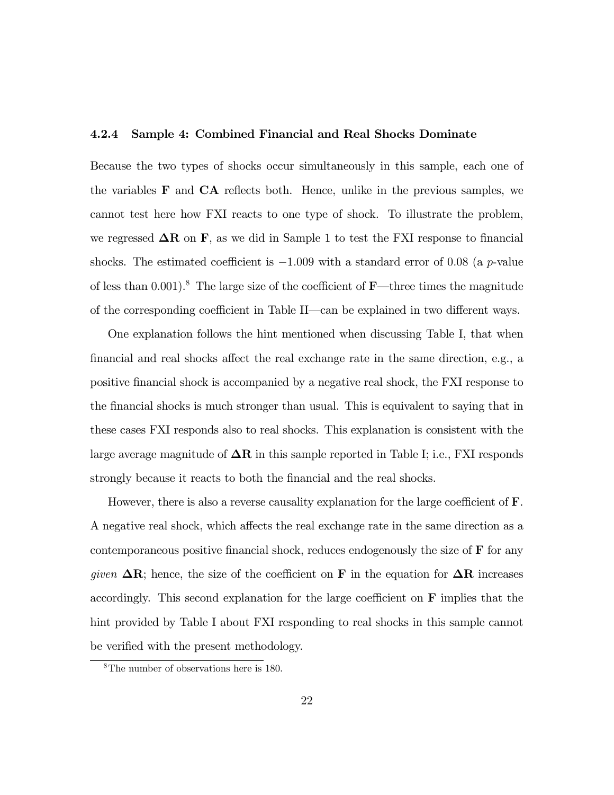### 4.2.4 Sample 4: Combined Financial and Real Shocks Dominate

Because the two types of shocks occur simultaneously in this sample, each one of the variables  $\bf{F}$  and  $\bf{CA}$  reflects both. Hence, unlike in the previous samples, we cannot test here how FXI reacts to one type of shock. To illustrate the problem, we regressed  $\Delta R$  on F, as we did in Sample 1 to test the FXI response to financial shocks. The estimated coefficient is  $-1.009$  with a standard error of 0.08 (a p-value of less than  $0.001$ .<sup>8</sup> The large size of the coefficient of **F**—three times the magnitude of the corresponding coefficient in Table II—can be explained in two different ways.

One explanation follows the hint mentioned when discussing Table I, that when financial and real shocks affect the real exchange rate in the same direction, e.g., a positive Önancial shock is accompanied by a negative real shock, the FXI response to the financial shocks is much stronger than usual. This is equivalent to saying that in these cases FXI responds also to real shocks. This explanation is consistent with the large average magnitude of  $\Delta R$  in this sample reported in Table I; i.e., FXI responds strongly because it reacts to both the financial and the real shocks.

However, there is also a reverse causality explanation for the large coefficient of  $\mathbf{F}$ . A negative real shock, which affects the real exchange rate in the same direction as a contemporaneous positive financial shock, reduces endogenously the size of  $\bf{F}$  for any given  $\Delta \mathbf{R}$ ; hence, the size of the coefficient on F in the equation for  $\Delta \mathbf{R}$  increases accordingly. This second explanation for the large coefficient on  $\bf{F}$  implies that the hint provided by Table I about FXI responding to real shocks in this sample cannot be verified with the present methodology.

<sup>8</sup>The number of observations here is 180.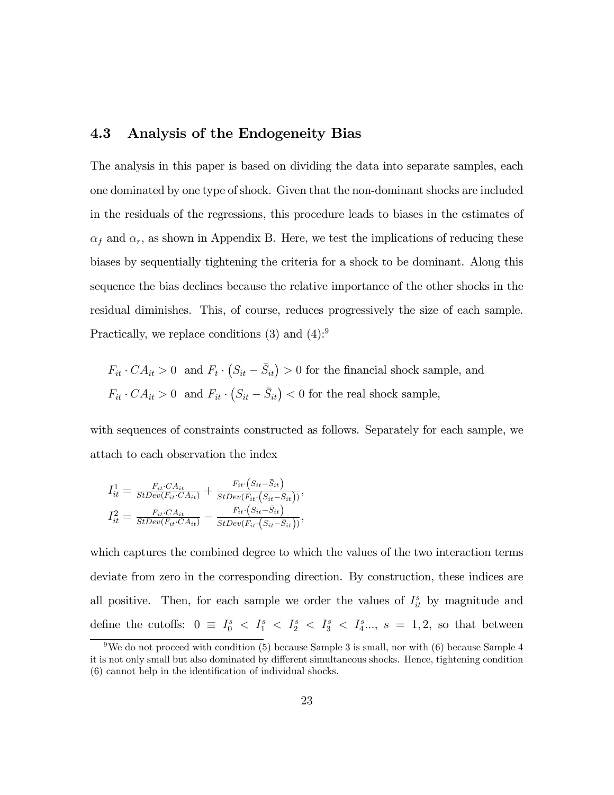### 4.3 Analysis of the Endogeneity Bias

The analysis in this paper is based on dividing the data into separate samples, each one dominated by one type of shock. Given that the non-dominant shocks are included in the residuals of the regressions, this procedure leads to biases in the estimates of  $\alpha_f$  and  $\alpha_r$ , as shown in Appendix B. Here, we test the implications of reducing these biases by sequentially tightening the criteria for a shock to be dominant. Along this sequence the bias declines because the relative importance of the other shocks in the residual diminishes. This, of course, reduces progressively the size of each sample. Practically, we replace conditions  $(3)$  and  $(4)$ :<sup>9</sup>

 $F_{it} \cdot CA_{it} > 0$  and  $F_t \cdot (S_{it} - \bar{S}_{it}) > 0$  for the financial shock sample, and  $F_{it} \cdot CA_{it} > 0$  and  $F_{it} \cdot (S_{it} - \bar{S}_{it}) < 0$  for the real shock sample,

with sequences of constraints constructed as follows. Separately for each sample, we attach to each observation the index

$$
I_{it}^1 = \frac{F_{it} \cdot CA_{it}}{StDev(F_{it} \cdot CA_{it})} + \frac{F_{it} \cdot (S_{it} - \bar{S}_{it})}{StDev(F_{it} \cdot (S_{it} - \bar{S}_{it}))},
$$
  

$$
I_{it}^2 = \frac{F_{it} \cdot CA_{it}}{StDev(F_{it} \cdot CA_{it})} - \frac{F_{it} \cdot (S_{it} - \bar{S}_{it})}{StDev(F_{it} \cdot (S_{it} - \bar{S}_{it}))},
$$

which captures the combined degree to which the values of the two interaction terms deviate from zero in the corresponding direction. By construction, these indices are all positive. Then, for each sample we order the values of  $I_{it}^s$  by magnitude and define the cutoffs:  $0 \equiv I_0^s < I_1^s < I_2^s < I_3^s < I_4^s \dots, s = 1, 2$ , so that between

<sup>&</sup>lt;sup>9</sup>We do not proceed with condition (5) because Sample 3 is small, nor with (6) because Sample 4 it is not only small but also dominated by different simultaneous shocks. Hence, tightening condition  $(6)$  cannot help in the identification of individual shocks.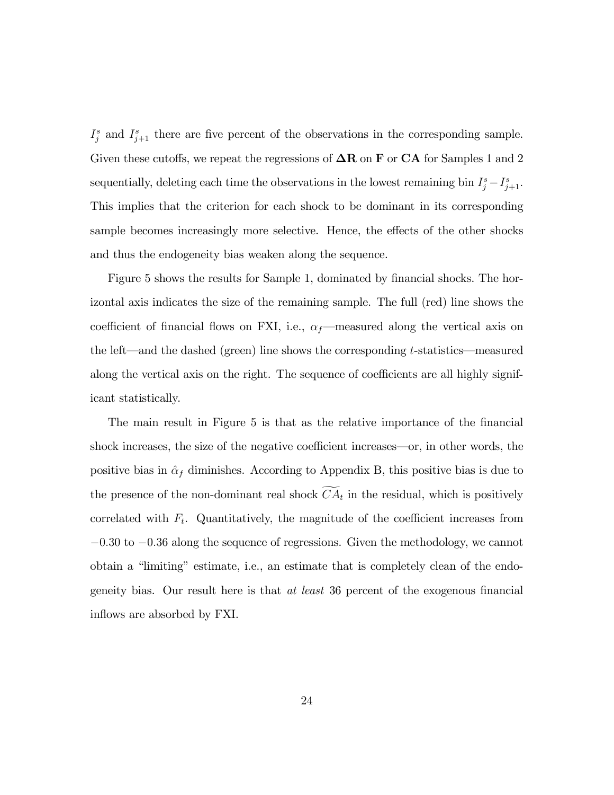$I_j^s$  and  $I_{j+1}^s$  there are five percent of the observations in the corresponding sample. Given these cutoffs, we repeat the regressions of  $\Delta \mathbf{R}$  on **F** or **CA** for Samples 1 and 2 sequentially, deleting each time the observations in the lowest remaining bin  $I_j^s - I_{j+1}^s$ . This implies that the criterion for each shock to be dominant in its corresponding sample becomes increasingly more selective. Hence, the effects of the other shocks and thus the endogeneity bias weaken along the sequence.

Figure 5 shows the results for Sample 1, dominated by financial shocks. The horizontal axis indicates the size of the remaining sample. The full (red) line shows the coefficient of financial flows on FXI, i.e.,  $\alpha_f$ —measured along the vertical axis on the left—and the dashed (green) line shows the corresponding t-statistics—measured along the vertical axis on the right. The sequence of coefficients are all highly significant statistically.

The main result in Figure 5 is that as the relative importance of the financial shock increases, the size of the negative coefficient increases—or, in other words, the positive bias in  $\hat{\alpha}_f$  diminishes. According to Appendix B, this positive bias is due to the presence of the non-dominant real shock  $CA_t$  in the residual, which is positively correlated with  $F_t$ . Quantitatively, the magnitude of the coefficient increases from  $-0.30$  to  $-0.36$  along the sequence of regressions. Given the methodology, we cannot obtain a "limiting" estimate, i.e., an estimate that is completely clean of the endogeneity bias. Our result here is that  $at$  least 36 percent of the exogenous financial inflows are absorbed by FXI.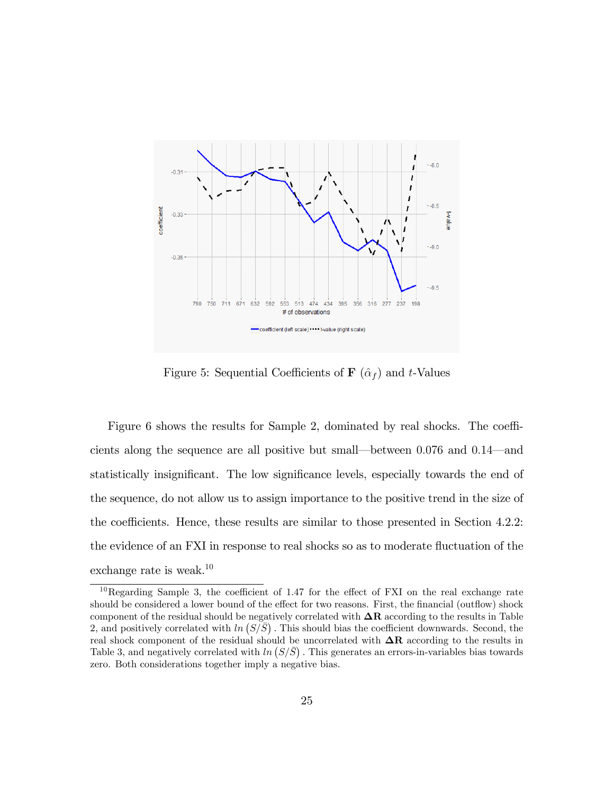

Figure 5: Sequential Coefficients of **F**  $(\hat{\alpha}_f)$  and t-Values

Figure 6 shows the results for Sample 2, dominated by real shocks. The coefficients along the sequence are all positive but small—between  $0.076$  and  $0.14$ —and statistically insignificant. The low significance levels, especially towards the end of the sequence, do not allow us to assign importance to the positive trend in the size of the coefficients. Hence, these results are similar to those presented in Section 4.2.2: the evidence of an FXI in response to real shocks so as to moderate fluctuation of the exchange rate is weak.<sup>10</sup>

 $10$ Regarding Sample 3, the coefficient of 1.47 for the effect of FXI on the real exchange rate should be considered a lower bound of the effect for two reasons. First, the financial (outflow) shock component of the residual should be negatively correlated with  $\Delta R$  according to the results in Table 2, and positively correlated with  $\ln (S/\overline{S})$ . This should bias the coefficient downwards. Second, the real shock component of the residual should be uncorrelated with  $\Delta R$  according to the results in Table 3, and negatively correlated with  $ln(S/\overline{S})$ . This generates an errors-in-variables bias towards zero. Both considerations together imply a negative bias.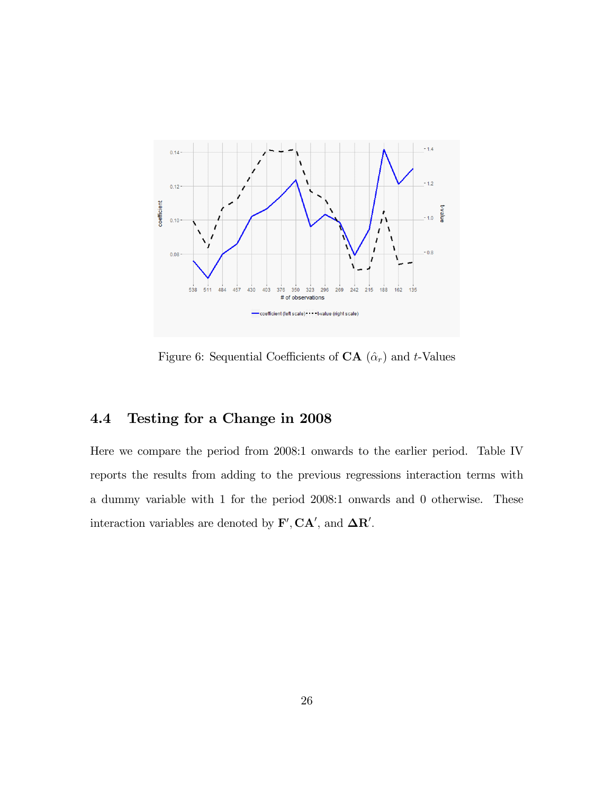

Figure 6: Sequential Coefficients of  $CA(\hat{\alpha}_r)$  and t-Values

## 4.4 Testing for a Change in 2008

Here we compare the period from 2008:1 onwards to the earlier period. Table IV reports the results from adding to the previous regressions interaction terms with a dummy variable with 1 for the period 2008:1 onwards and 0 otherwise. These interaction variables are denoted by  $\mathbf{F}', \mathbf{CA}',$  and  $\mathbf{\Delta R}'$ .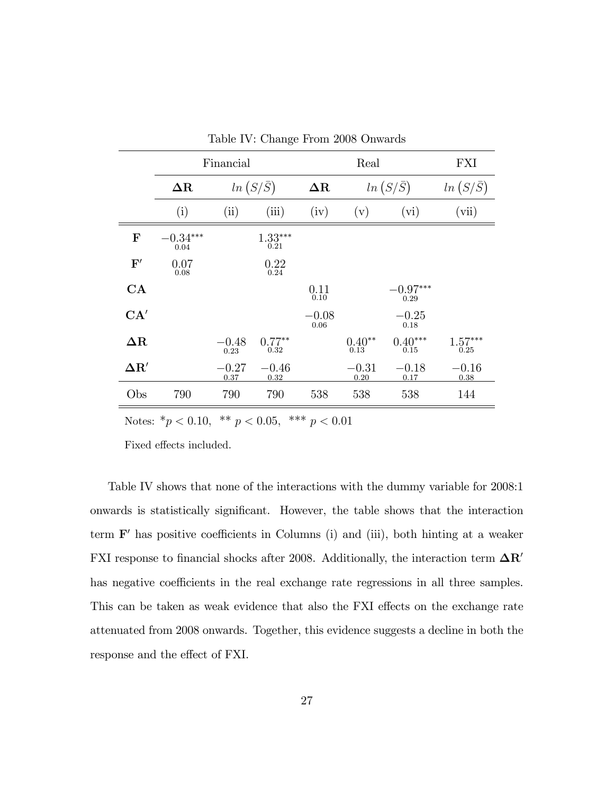|                | Financial          |                 |                   | Real            |                  |                    | FXI               |
|----------------|--------------------|-----------------|-------------------|-----------------|------------------|--------------------|-------------------|
|                | $\Delta R$         |                 | $ln(S/\bar{S})$   | $\Delta R$      |                  | $ln(S/\bar{S})$    | $ln(S/\bar{S})$   |
|                | (i)                | (ii)            | (iii)             | (iv)            | (v)              | (vi)               | (vii)             |
| $\mathbf F$    | $-0.34***$<br>0.04 |                 | $1.33***$<br>0.21 |                 |                  |                    |                   |
| $\mathbf{F}'$  | 0.07<br>0.08       |                 | 0.22<br>0.24      |                 |                  |                    |                   |
| CA             |                    |                 |                   | 0.11<br>0.10    |                  | $-0.97***$<br>0.29 |                   |
| CA'            |                    |                 |                   | $-0.08$<br>0.06 |                  | $-0.25$<br>0.18    |                   |
| $\Delta \rm R$ |                    | $-0.48$<br>0.23 | $0.77**$<br>0.32  |                 | $0.40**$<br>0.13 | $0.40***$<br>0.15  | $1.57***$<br>0.25 |
| $\Delta R'$    |                    | $-0.27$<br>0.37 | $-0.46$<br>0.32   |                 | $-0.31$<br>0.20  | $-0.18$<br>0.17    | $-0.16$<br>0.38   |
| Obs            | 790                | 790             | 790               | 538             | 538              | 538                | 144               |

Table IV: Change From 2008 Onwards

Notes:  $* p < 0.10, * p < 0.05, ** p < 0.01$ 

Fixed effects included.

Table IV shows that none of the interactions with the dummy variable for 2008:1 onwards is statistically significant. However, the table shows that the interaction term  $F'$  has positive coefficients in Columns (i) and (iii), both hinting at a weaker FXI response to financial shocks after 2008. Additionally, the interaction term  $\Delta R'$ has negative coefficients in the real exchange rate regressions in all three samples. This can be taken as weak evidence that also the FXI effects on the exchange rate attenuated from 2008 onwards. Together, this evidence suggests a decline in both the response and the effect of FXI.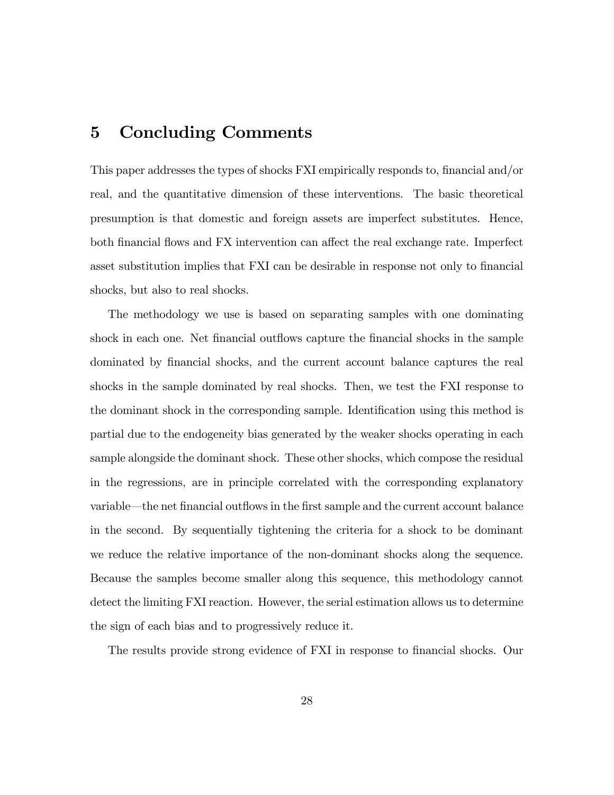# 5 Concluding Comments

This paper addresses the types of shocks FXI empirically responds to, financial and/or real, and the quantitative dimension of these interventions. The basic theoretical presumption is that domestic and foreign assets are imperfect substitutes. Hence, both financial flows and FX intervention can affect the real exchange rate. Imperfect asset substitution implies that FXI can be desirable in response not only to financial shocks, but also to real shocks.

The methodology we use is based on separating samples with one dominating shock in each one. Net financial outflows capture the financial shocks in the sample dominated by Önancial shocks, and the current account balance captures the real shocks in the sample dominated by real shocks. Then, we test the FXI response to the dominant shock in the corresponding sample. Identification using this method is partial due to the endogeneity bias generated by the weaker shocks operating in each sample alongside the dominant shock. These other shocks, which compose the residual in the regressions, are in principle correlated with the corresponding explanatory variable—the net financial outflows in the first sample and the current account balance in the second. By sequentially tightening the criteria for a shock to be dominant we reduce the relative importance of the non-dominant shocks along the sequence. Because the samples become smaller along this sequence, this methodology cannot detect the limiting FXI reaction. However, the serial estimation allows us to determine the sign of each bias and to progressively reduce it.

The results provide strong evidence of FXI in response to financial shocks. Our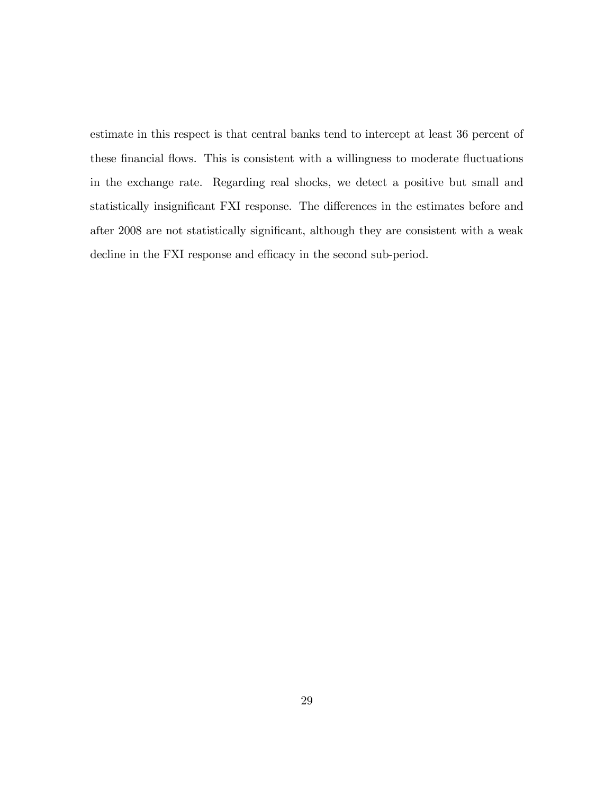estimate in this respect is that central banks tend to intercept at least 36 percent of these financial flows. This is consistent with a willingness to moderate fluctuations in the exchange rate. Regarding real shocks, we detect a positive but small and statistically insignificant FXI response. The differences in the estimates before and after 2008 are not statistically significant, although they are consistent with a weak decline in the FXI response and efficacy in the second sub-period.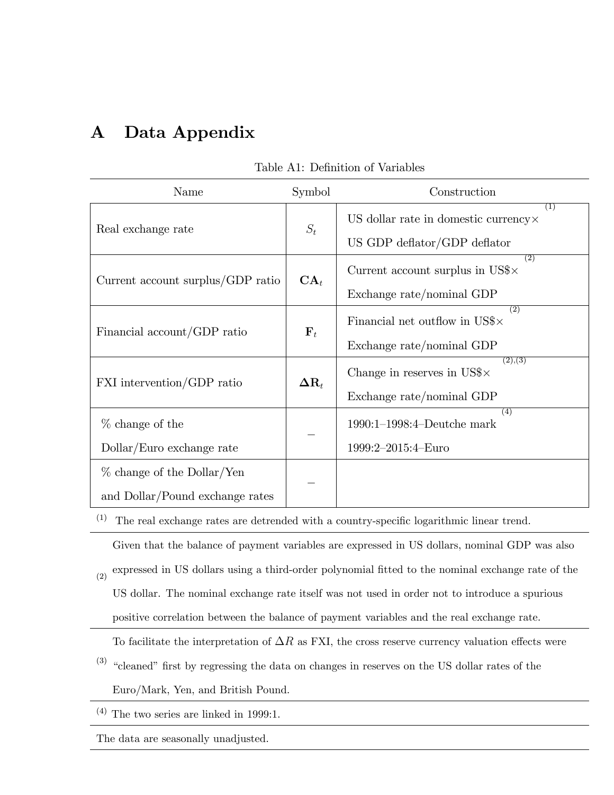# A Data Appendix

| Name                              | Symbol                | Construction                                                       |
|-----------------------------------|-----------------------|--------------------------------------------------------------------|
|                                   | $S_t$                 | (1)<br>US dollar rate in domestic currency $\times$                |
| Real exchange rate                |                       | US GDP deflator/GDP deflator                                       |
|                                   |                       | $\overline{(2)}$<br>Current account surplus in $\text{USS} \times$ |
| Current account surplus/GDP ratio | $\mathbf{CA}_t$       | Exchange rate/nominal GDP                                          |
| Financial account/GDP ratio       | ${\bf F}_t$           | (2)<br>Financial net outflow in US\$ $\times$                      |
|                                   |                       | Exchange rate/nominal GDP                                          |
|                                   | $\Delta \mathbf{R}_t$ | (2), (3)<br>Change in reserves in US\$ $\times$                    |
| FXI intervention/GDP ratio        |                       | Exchange rate/nominal GDP                                          |
| $%$ change of the                 |                       | (4)<br>$1990:1-1998:4-Deutche mark$                                |
| Dollar/Euro exchange rate         |                       | 1999:2-2015:4-Euro                                                 |
| $%$ change of the Dollar/Yen      |                       |                                                                    |
| and Dollar/Pound exchange rates   |                       |                                                                    |

### Table A1: Definition of Variables

 $(1)$  The real exchange rates are detrended with a country-specific logarithmic linear trend.

Given that the balance of payment variables are expressed in US dollars, nominal GDP was also

(2) expressed in US dollars using a third-order polynomial fitted to the nominal exchange rate of the US dollar. The nominal exchange rate itself was not used in order not to introduce a spurious

positive correlation between the balance of payment variables and the real exchange rate.

To facilitate the interpretation of  $\Delta R$  as FXI, the cross reserve currency valuation effects were

 $\beta$ <sup>3</sup> "cleaned" first by regressing the data on changes in reserves on the US dollar rates of the Euro/Mark, Yen, and British Pound.

 $\,$  (4) The two series are linked in 1999:1.

The data are seasonally unadjusted.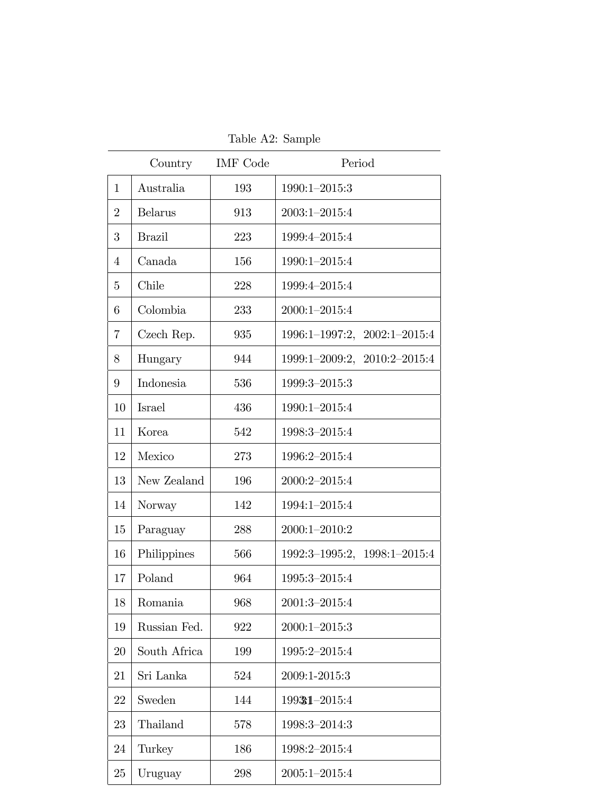|                | Country        | <b>IMF</b> Code | Period                         |
|----------------|----------------|-----------------|--------------------------------|
| 1              | Australia      | 193             | 1990:1-2015:3                  |
| $\overline{2}$ | <b>Belarus</b> | 913             | $2003:1 - 2015:4$              |
| 3              | <b>Brazil</b>  | 223             | 1999:4-2015:4                  |
| 4              | Canada         | 156             | 1990:1-2015:4                  |
| 5              | Chile          | 228             | 1999:4-2015:4                  |
| 6              | Colombia       | 233             | $2000:1 - 2015:4$              |
| $\overline{7}$ | Czech Rep.     | 935             | 1996:1-1997:2, 2002:1-2015:4   |
| 8              | Hungary        | 944             | 1999:1-2009:2, 2010:2-2015:4   |
| 9              | Indonesia      | 536             | 1999:3-2015:3                  |
| 10             | Israel         | 436             | 1990:1-2015:4                  |
| 11             | Korea          | 542             | 1998:3-2015:4                  |
| 12             | Mexico         | 273             | 1996:2-2015:4                  |
| 13             | New Zealand    | 196             | 2000:2-2015:4                  |
| 14             | Norway         | 142             | 1994:1-2015:4                  |
| 15             | Paraguay       | 288             | $2000:1 - 2010:2$              |
| 16             | Philippines    | 566             | $1992:3-1995:2, 1998:1-2015:4$ |
| 17             | Poland         | 964             | 1995:3-2015:4                  |
| 18             | Romania        | 968             | $2001:3-2015:4$                |
| 19             | Russian Fed.   | 922             | $2000:1 - 2015:3$              |
| 20             | South Africa   | 199             | 1995:2-2015:4                  |
| 21             | Sri Lanka      | 524             | 2009:1-2015:3                  |
| 22             | Sweden         | 144             | 19931-2015:4                   |
| 23             | Thailand       | 578             | 1998:3-2014:3                  |
| 24             | Turkey         | 186             | 1998:2-2015:4                  |
| 25             | Uruguay        | 298             | $2005:1 - 2015:4$              |

Table A2: Sample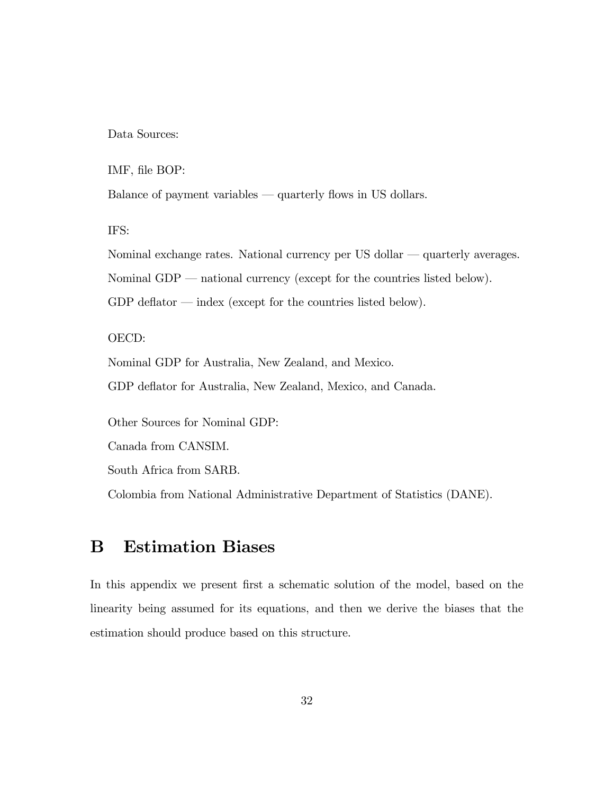Data Sources:

IMF, file BOP:

Balance of payment variables  $-$  quarterly flows in US dollars.

IFS:

Nominal exchange rates. National currency per US dollar  $-$  quarterly averages. Nominal GDP  $-$  national currency (except for the countries listed below). GDP deflator  $-\text{index}$  (except for the countries listed below).

OECD:

Nominal GDP for Australia, New Zealand, and Mexico.

GDP deflator for Australia, New Zealand, Mexico, and Canada.

Other Sources for Nominal GDP:

Canada from CANSIM.

South Africa from SARB.

Colombia from National Administrative Department of Statistics (DANE).

## B Estimation Biases

In this appendix we present first a schematic solution of the model, based on the linearity being assumed for its equations, and then we derive the biases that the estimation should produce based on this structure.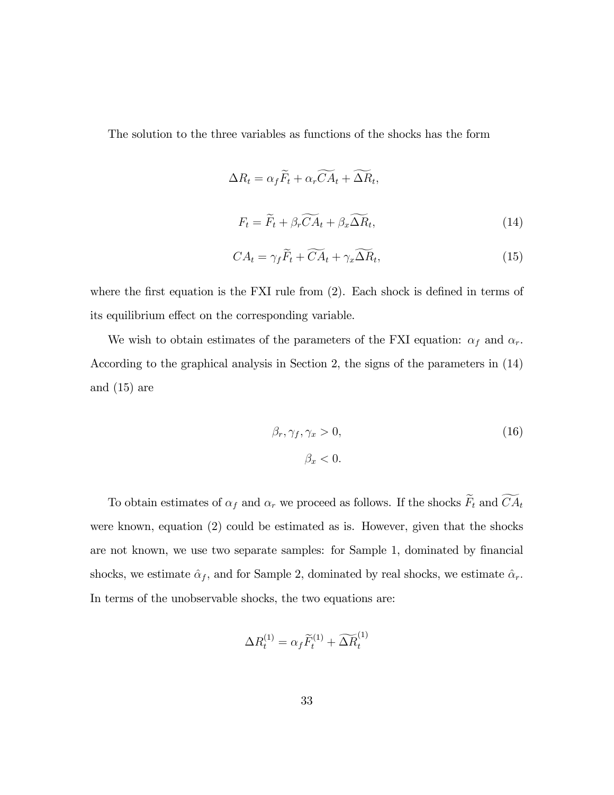The solution to the three variables as functions of the shocks has the form

$$
\Delta R_t = \alpha_f \widetilde{F}_t + \alpha_r \widetilde{CA}_t + \widetilde{\Delta R}_t,
$$
  

$$
F_t = \widetilde{F}_t + \beta_r \widetilde{CA}_t + \beta_x \widetilde{\Delta R}_t,
$$
 (14)

$$
CA_t = \gamma_f \widetilde{F}_t + \widetilde{CA}_t + \gamma_x \widetilde{\Delta R}_t, \tag{15}
$$

where the first equation is the FXI rule from  $(2)$ . Each shock is defined in terms of its equilibrium effect on the corresponding variable.

We wish to obtain estimates of the parameters of the FXI equation:  $\alpha_f$  and  $\alpha_r$ . According to the graphical analysis in Section 2, the signs of the parameters in (14) and (15) are

$$
\beta_r, \gamma_f, \gamma_x > 0,
$$
  
\n
$$
\beta_x < 0.
$$
\n(16)

To obtain estimates of  $\alpha_f$  and  $\alpha_r$  we proceed as follows. If the shocks  $\widetilde{F}_t$  and  $\widetilde{CA}_t$ were known, equation (2) could be estimated as is. However, given that the shocks are not known, we use two separate samples: for Sample 1, dominated by financial shocks, we estimate  $\hat{\alpha}_f$ , and for Sample 2, dominated by real shocks, we estimate  $\hat{\alpha}_r$ . In terms of the unobservable shocks, the two equations are:

$$
\Delta R_t^{(1)} = \alpha_f \widetilde{F}_t^{(1)} + \widetilde{\Delta R}_t^{(1)}
$$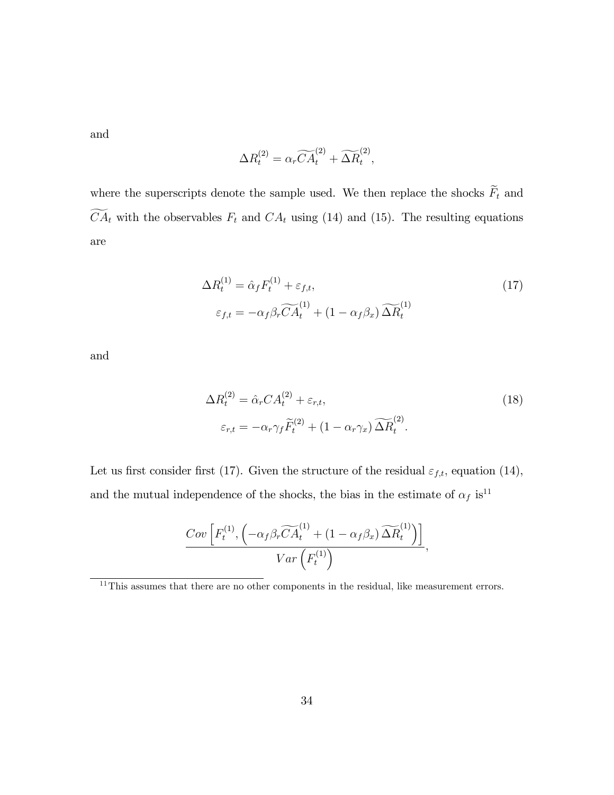and

$$
\Delta R_t^{(2)} = \alpha_r \widetilde{CA}_t^{(2)} + \widetilde{\Delta R}_t^{(2)},
$$

where the superscripts denote the sample used. We then replace the shocks  $\widetilde{F}_t$  and  $\widetilde{CA}_t$  with the observables  $F_t$  and  $CA_t$  using (14) and (15). The resulting equations are

$$
\Delta R_t^{(1)} = \hat{\alpha}_f F_t^{(1)} + \varepsilon_{f,t},
$$
  
\n
$$
\varepsilon_{f,t} = -\alpha_f \beta_r \widetilde{CA}_t^{(1)} + (1 - \alpha_f \beta_x) \widetilde{\Delta R}_t^{(1)}
$$
\n(17)

and

$$
\Delta R_t^{(2)} = \hat{\alpha}_r C A_t^{(2)} + \varepsilon_{r,t},
$$
  
\n
$$
\varepsilon_{r,t} = -\alpha_r \gamma_f \widetilde{F}_t^{(2)} + (1 - \alpha_r \gamma_x) \widetilde{\Delta R}_t^{(2)}.
$$
\n(18)

Let us first consider first (17). Given the structure of the residual  $\varepsilon_{f,t}$ , equation (14), and the mutual independence of the shocks, the bias in the estimate of  $\alpha_f$  is<sup>11</sup>

$$
\frac{Cov\left[F_t^{(1)}, \left(-\alpha_f \beta_r \widetilde{CA}_t^{(1)} + (1 - \alpha_f \beta_x) \widetilde{\Delta R}_t^{(1)}\right)\right]}{Var\left(F_t^{(1)}\right)},
$$

 $\frac{11}{11}$ This assumes that there are no other components in the residual, like measurement errors.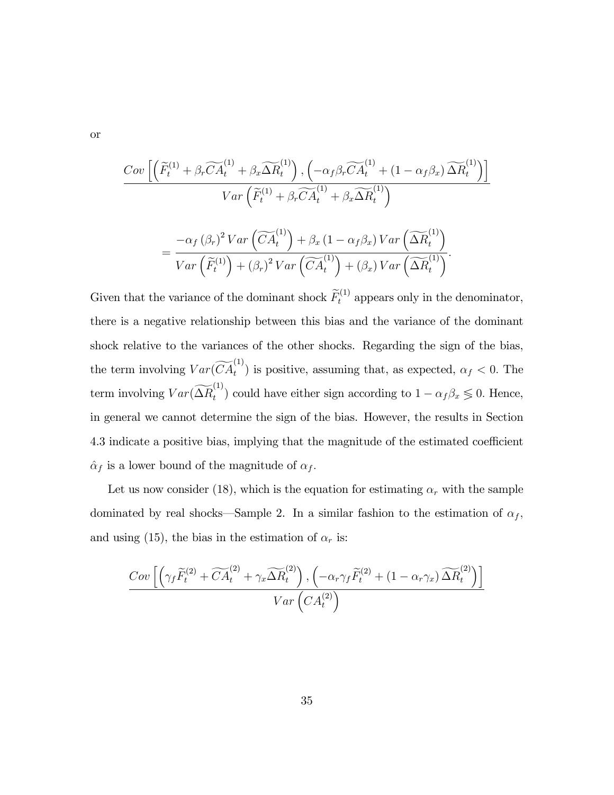or

$$
\frac{Cov\left[\left(\widetilde{F}_{t}^{(1)} + \beta_{r}\widetilde{CA}_{t}^{(1)} + \beta_{x}\widetilde{\Delta R}_{t}^{(1)}\right), \left(-\alpha_{f}\beta_{r}\widetilde{CA}_{t}^{(1)} + (1 - \alpha_{f}\beta_{x})\widetilde{\Delta R}_{t}^{(1)}\right)\right]}{Var\left(\widetilde{F}_{t}^{(1)} + \beta_{r}\widetilde{CA}_{t}^{(1)} + \beta_{x}\widetilde{\Delta R}_{t}^{(1)}\right)}
$$

$$
= \frac{-\alpha_{f}(\beta_{r})^{2} Var\left(\widetilde{CA}_{t}^{(1)}\right) + \beta_{x} (1 - \alpha_{f}\beta_{x}) Var\left(\widetilde{\Delta R}_{t}^{(1)}\right)}{Var\left(\widetilde{F}_{t}^{(1)}\right) + (\beta_{r})^{2} Var\left(\widetilde{CA}_{t}^{(1)}\right) + (\beta_{x}) Var\left(\widetilde{\Delta R}_{t}^{(1)}\right)}.
$$

Given that the variance of the dominant shock  $\widetilde{F}_t^{(1)}$  appears only in the denominator, there is a negative relationship between this bias and the variance of the dominant shock relative to the variances of the other shocks. Regarding the sign of the bias, the term involving  $Var(\widetilde{CA}_{t}^{(1)})$  is positive, assuming that, as expected,  $\alpha_{f} < 0$ . The term involving  $Var(\widetilde{\Delta R}_t^{(1)})$ <sup>(\*'</sup>) could have either sign according to  $1 - \alpha_f \beta_x \leq 0$ . Hence, in general we cannot determine the sign of the bias. However, the results in Section 4.3 indicate a positive bias, implying that the magnitude of the estimated coefficient  $\hat{\alpha}_f$  is a lower bound of the magnitude of  $\alpha_f.$ 

Let us now consider (18), which is the equation for estimating  $\alpha_r$  with the sample dominated by real shocks—Sample 2. In a similar fashion to the estimation of  $\alpha_f$ , and using (15), the bias in the estimation of  $\alpha_r$  is:

$$
\frac{Cov\left[\left(\gamma_f \widetilde{F}_t^{(2)} + \widetilde{CA}_t^{(2)} + \gamma_x \widetilde{\Delta R}_t^{(2)}\right), \left(-\alpha_r \gamma_f \widetilde{F}_t^{(2)} + (1 - \alpha_r \gamma_x) \widetilde{\Delta R}_t^{(2)}\right)\right]}{Var\left(CA_t^{(2)}\right)}
$$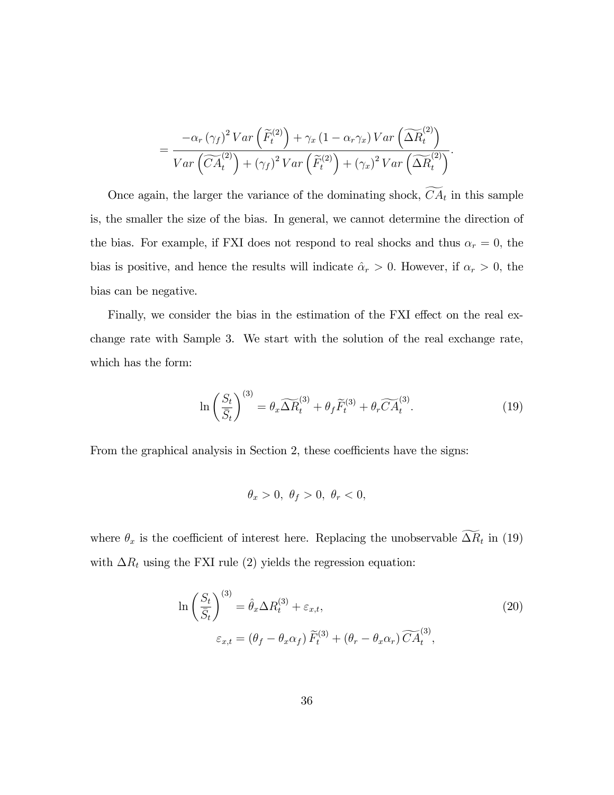$$
= \frac{-\alpha_r (\gamma_f)^2 Var\left(\widetilde{F}_t^{(2)}\right) + \gamma_x (1 - \alpha_r \gamma_x) Var\left(\widetilde{\Delta R}_t^{(2)}\right)}{Var\left(\widetilde{CA}_t^{(2)}\right) + (\gamma_f)^2 Var\left(\widetilde{F}_t^{(2)}\right) + (\gamma_x)^2 Var\left(\widetilde{\Delta R}_t^{(2)}\right)}.
$$

Once again, the larger the variance of the dominating shock,  $CA_t$  in this sample is, the smaller the size of the bias. In general, we cannot determine the direction of the bias. For example, if FXI does not respond to real shocks and thus  $\alpha_r = 0$ , the bias is positive, and hence the results will indicate  $\hat{\alpha}_r > 0$ . However, if  $\alpha_r > 0$ , the bias can be negative.

Finally, we consider the bias in the estimation of the FXI effect on the real exchange rate with Sample 3. We start with the solution of the real exchange rate, which has the form:

$$
\ln\left(\frac{S_t}{\bar{S}_t}\right)^{(3)} = \theta_x \widetilde{\Delta R}_t^{(3)} + \theta_f \widetilde{F}_t^{(3)} + \theta_r \widetilde{CA}_t^{(3)}.
$$
\n(19)

From the graphical analysis in Section 2, these coefficients have the signs:

$$
\theta_x > 0, \ \theta_f > 0, \ \theta_r < 0,
$$

where  $\theta_x$  is the coefficient of interest here. Replacing the unobservable  $\Delta R_t$  in (19) with  $\Delta R_t$  using the FXI rule (2) yields the regression equation:

$$
\ln\left(\frac{S_t}{\bar{S}_t}\right)^{(3)} = \hat{\theta}_x \Delta R_t^{(3)} + \varepsilon_{x,t},
$$
  

$$
\varepsilon_{x,t} = (\theta_f - \theta_x \alpha_f) \widetilde{F}_t^{(3)} + (\theta_r - \theta_x \alpha_r) \widetilde{CA}_t^{(3)},
$$
 (20)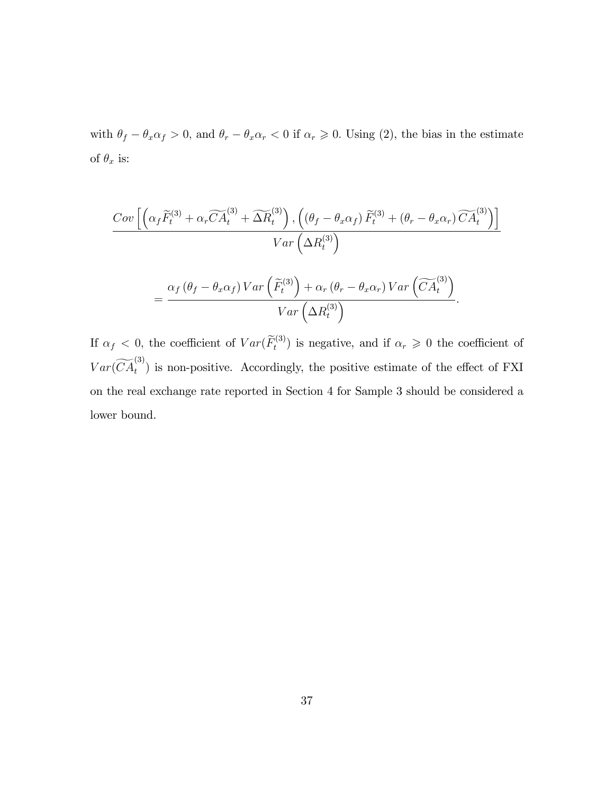with  $\theta_f - \theta_x \alpha_f > 0$ , and  $\theta_r - \theta_x \alpha_r < 0$  if  $\alpha_r \ge 0$ . Using (2), the bias in the estimate of  $\theta_x$  is:

$$
\frac{Cov\left[\left(\alpha_f \widetilde{F}_t^{(3)} + \alpha_r \widetilde{CA}_t^{(3)} + \widetilde{\Delta R}_t^{(3)}\right), \left((\theta_f - \theta_x \alpha_f) \widetilde{F}_t^{(3)} + (\theta_r - \theta_x \alpha_r) \widetilde{CA}_t^{(3)}\right)\right]}{Var\left(\Delta R_t^{(3)}\right)}
$$

$$
= \frac{\alpha_f (\theta_f - \theta_x \alpha_f) Var\left(\widetilde{F}_t^{(3)}\right) + \alpha_r (\theta_r - \theta_x \alpha_r) Var\left(\widetilde{CA}_t^{(3)}\right)}{Var\left(\Delta R_t^{(3)}\right)}.
$$

If  $\alpha_f < 0$ , the coefficient of  $Var(\widetilde{F}_t^{(3)})$  is negative, and if  $\alpha_r \geq 0$  the coefficient of  $Var(\widetilde{CA}_t^{(3)})$  is non-positive. Accordingly, the positive estimate of the effect of FXI on the real exchange rate reported in Section 4 for Sample 3 should be considered a lower bound.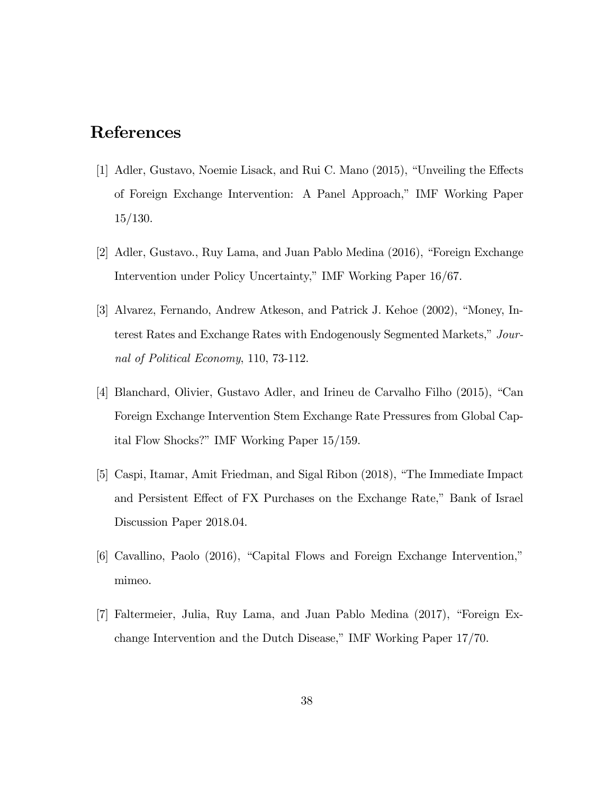# References

- [1] Adler, Gustavo, Noemie Lisack, and Rui C. Mano (2015), "Unveiling the Effects of Foreign Exchange Intervention: A Panel Approach," IMF Working Paper 15/130.
- [2] Adler, Gustavo., Ruy Lama, and Juan Pablo Medina  $(2016)$ , "Foreign Exchange" Intervention under Policy Uncertainty," IMF Working Paper 16/67.
- [3] Alvarez, Fernando, Andrew Atkeson, and Patrick J. Kehoe (2002), "Money, Interest Rates and Exchange Rates with Endogenously Segmented Markets," Journal of Political Economy, 110, 73-112.
- [4] Blanchard, Olivier, Gustavo Adler, and Irineu de Carvalho Filho  $(2015)$ , "Can Foreign Exchange Intervention Stem Exchange Rate Pressures from Global Capital Flow Shocks?î IMF Working Paper 15/159.
- [5] Caspi, Itamar, Amit Friedman, and Sigal Ribon (2018), "The Immediate Impact and Persistent Effect of FX Purchases on the Exchange Rate," Bank of Israel Discussion Paper 2018.04.
- $[6]$  Cavallino, Paolo (2016), "Capital Flows and Foreign Exchange Intervention," mimeo.
- [7] Faltermeier, Julia, Ruy Lama, and Juan Pablo Medina  $(2017)$ , "Foreign Exchange Intervention and the Dutch Disease," IMF Working Paper 17/70.